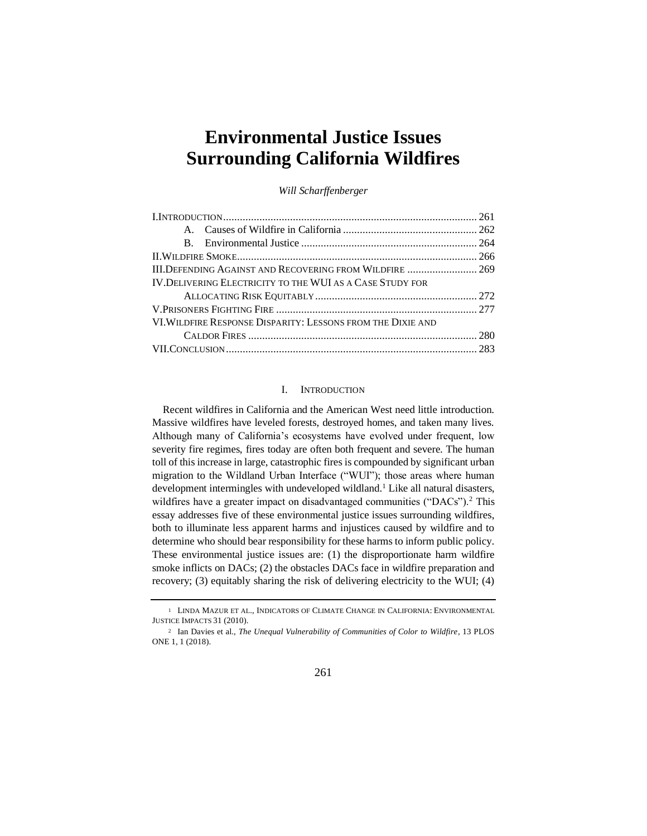# **Environmental Justice Issues Surrounding California Wildfires**

*Will Scharffenberger*

|                                                             | III.DEFENDING AGAINST AND RECOVERING FROM WILDFIRE  269 |  |
|-------------------------------------------------------------|---------------------------------------------------------|--|
| IV. DELIVERING ELECTRICITY TO THE WUI AS A CASE STUDY FOR   |                                                         |  |
|                                                             |                                                         |  |
|                                                             |                                                         |  |
| VI. WILDFIRE RESPONSE DISPARITY: LESSONS FROM THE DIXIE AND |                                                         |  |
|                                                             |                                                         |  |
|                                                             |                                                         |  |

## I. INTRODUCTION

Recent wildfires in California and the American West need little introduction. Massive wildfires have leveled forests, destroyed homes, and taken many lives. Although many of California's ecosystems have evolved under frequent, low severity fire regimes, fires today are often both frequent and severe. The human toll of this increase in large, catastrophic fires is compounded by significant urban migration to the Wildland Urban Interface ("WUI"); those areas where human development intermingles with undeveloped wildland.<sup>1</sup> Like all natural disasters, wildfires have a greater impact on disadvantaged communities ("DACs").<sup>2</sup> This essay addresses five of these environmental justice issues surrounding wildfires, both to illuminate less apparent harms and injustices caused by wildfire and to determine who should bear responsibility for these harms to inform public policy. These environmental justice issues are: (1) the disproportionate harm wildfire smoke inflicts on DACs; (2) the obstacles DACs face in wildfire preparation and recovery; (3) equitably sharing the risk of delivering electricity to the WUI; (4)

261

<sup>1</sup> LINDA MAZUR ET AL., INDICATORS OF CLIMATE CHANGE IN CALIFORNIA: ENVIRONMENTAL JUSTICE IMPACTS 31 (2010).

<sup>2</sup> Ian Davies et al., *The Unequal Vulnerability of Communities of Color to Wildfire*, 13 PLOS ONE 1, 1 (2018).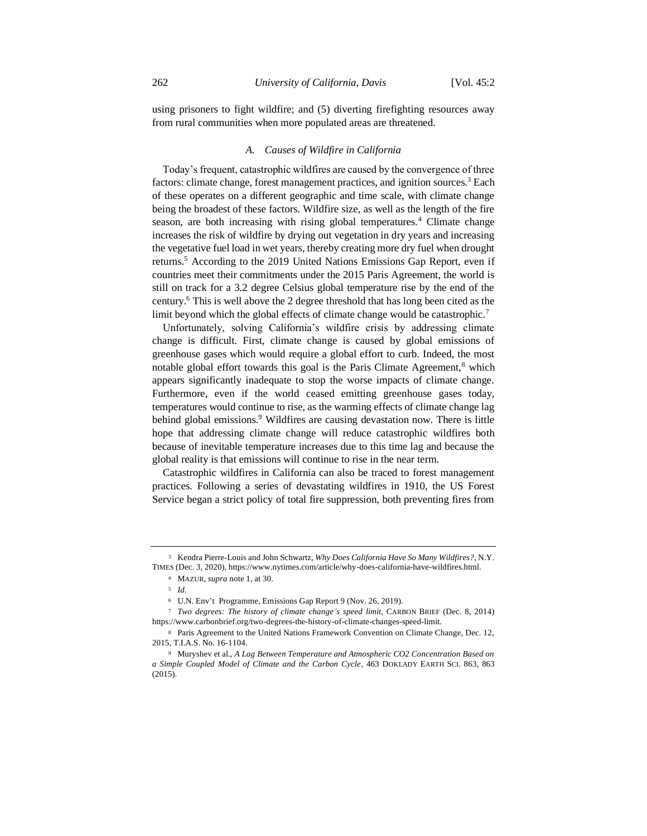using prisoners to fight wildfire; and (5) diverting firefighting resources away from rural communities when more populated areas are threatened.

#### *A. Causes of Wildfire in California*

Today's frequent, catastrophic wildfires are caused by the convergence of three factors: climate change, forest management practices, and ignition sources.<sup>3</sup> Each of these operates on a different geographic and time scale, with climate change being the broadest of these factors. Wildfire size, as well as the length of the fire season, are both increasing with rising global temperatures.<sup>4</sup> Climate change increases the risk of wildfire by drying out vegetation in dry years and increasing the vegetative fuel load in wet years, thereby creating more dry fuel when drought returns.<sup>5</sup> According to the 2019 United Nations Emissions Gap Report, even if countries meet their commitments under the 2015 Paris Agreement, the world is still on track for a 3.2 degree Celsius global temperature rise by the end of the century.<sup>6</sup> This is well above the 2 degree threshold that has long been cited as the limit beyond which the global effects of climate change would be catastrophic.<sup>7</sup>

Unfortunately, solving California's wildfire crisis by addressing climate change is difficult. First, climate change is caused by global emissions of greenhouse gases which would require a global effort to curb. Indeed, the most notable global effort towards this goal is the Paris Climate Agreement, $8$  which appears significantly inadequate to stop the worse impacts of climate change. Furthermore, even if the world ceased emitting greenhouse gases today, temperatures would continue to rise, as the warming effects of climate change lag behind global emissions.<sup>9</sup> Wildfires are causing devastation now. There is little hope that addressing climate change will reduce catastrophic wildfires both because of inevitable temperature increases due to this time lag and because the global reality is that emissions will continue to rise in the near term.

Catastrophic wildfires in California can also be traced to forest management practices. Following a series of devastating wildfires in 1910, the US Forest Service began a strict policy of total fire suppression, both preventing fires from

<sup>3</sup> Kendra Pierre-Louis and John Schwartz, *Why Does California Have So Many Wildfires?*, N.Y. TIMES (Dec. 3, 2020), https://www.nytimes.com/article/why-does-california-have-wildfires.html.

<sup>4</sup> MAZUR, *supra* note 1, at 30.

<sup>5</sup> *Id.*

<sup>6</sup> U.N. Env't Programme, Emissions Gap Report 9 (Nov. 26, 2019).

<sup>7</sup> *Two degrees: The history of climate change's speed limit*, CARBON BRIEF (Dec. 8, 2014) https://www.carbonbrief.org/two-degrees-the-history-of-climate-changes-speed-limit.

<sup>8</sup> Paris Agreement to the United Nations Framework Convention on Climate Change, Dec. 12, 2015, T.I.A.S. No. 16-1104.

<sup>9</sup> Muryshev et al., *A Lag Between Temperature and Atmospheric CO2 Concentration Based on a Simple Coupled Model of Climate and the Carbon Cycle*, 463 DOKLADY EARTH SCI. 863, 863 (2015).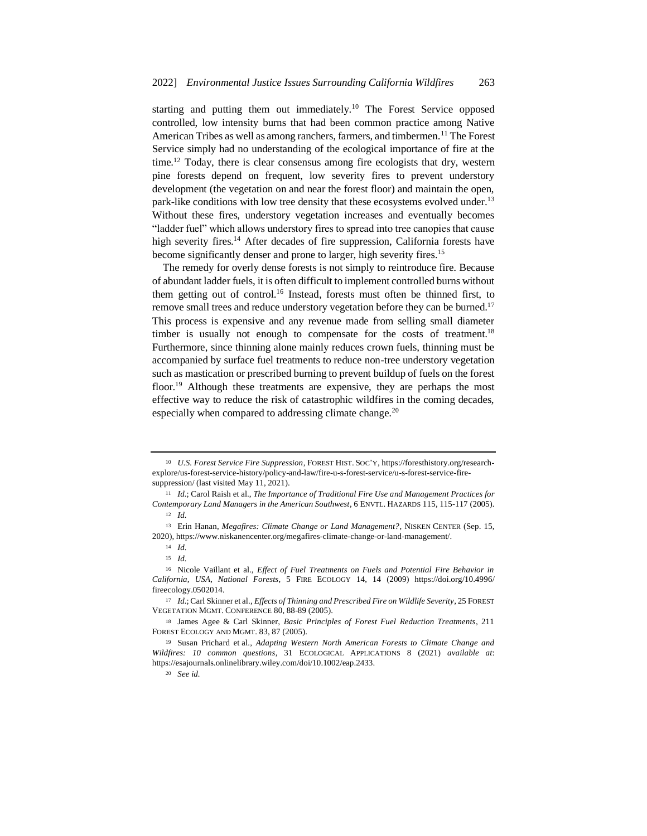starting and putting them out immediately.<sup>10</sup> The Forest Service opposed controlled, low intensity burns that had been common practice among Native American Tribes as well as among ranchers, farmers, and timbermen.<sup>11</sup> The Forest Service simply had no understanding of the ecological importance of fire at the time.<sup>12</sup> Today, there is clear consensus among fire ecologists that dry, western pine forests depend on frequent, low severity fires to prevent understory development (the vegetation on and near the forest floor) and maintain the open, park-like conditions with low tree density that these ecosystems evolved under.<sup>13</sup> Without these fires, understory vegetation increases and eventually becomes "ladder fuel" which allows understory fires to spread into tree canopies that cause high severity fires.<sup>14</sup> After decades of fire suppression, California forests have become significantly denser and prone to larger, high severity fires.<sup>15</sup>

The remedy for overly dense forests is not simply to reintroduce fire. Because of abundant ladder fuels, it is often difficult to implement controlled burns without them getting out of control.<sup>16</sup> Instead, forests must often be thinned first, to remove small trees and reduce understory vegetation before they can be burned.<sup>17</sup> This process is expensive and any revenue made from selling small diameter timber is usually not enough to compensate for the costs of treatment.<sup>18</sup> Furthermore, since thinning alone mainly reduces crown fuels, thinning must be accompanied by surface fuel treatments to reduce non-tree understory vegetation such as mastication or prescribed burning to prevent buildup of fuels on the forest floor.<sup>19</sup> Although these treatments are expensive, they are perhaps the most effective way to reduce the risk of catastrophic wildfires in the coming decades, especially when compared to addressing climate change.<sup>20</sup>

<sup>10</sup> *U.S. Forest Service Fire Suppression*, FOREST HIST. SOC'Y, https://foresthistory.org/researchexplore/us-forest-service-history/policy-and-law/fire-u-s-forest-service/u-s-forest-service-firesuppression/ (last visited May 11, 2021).

<sup>11</sup> *Id.*; Carol Raish et al., *The Importance of Traditional Fire Use and Management Practices for Contemporary Land Managers in the American Southwest*, 6 ENVTL. HAZARDS 115, 115-117 (2005). <sup>12</sup> *Id.* 

<sup>13</sup> Erin Hanan, *Megafires: Climate Change or Land Management?*, NISKEN CENTER (Sep. 15, 2020), https://www.niskanencenter.org/megafires-climate-change-or-land-management/.

<sup>14</sup> *Id.*

<sup>15</sup> *Id.*

<sup>16</sup> Nicole Vaillant et al., *Effect of Fuel Treatments on Fuels and Potential Fire Behavior in California, USA, National Forests*, 5 FIRE ECOLOGY 14, 14 (2009) https://doi.org/10.4996/ fireecology.0502014.

<sup>17</sup> *Id.*; Carl Skinner et al., *Effects of Thinning and Prescribed Fire on Wildlife Severity*, 25 FOREST VEGETATION MGMT. CONFERENCE 80, 88-89 (2005).

<sup>18</sup> James Agee & Carl Skinner, *Basic Principles of Forest Fuel Reduction Treatments*, 211 FOREST ECOLOGY AND MGMT. 83, 87 (2005).

<sup>19</sup> Susan Prichard et al., *Adapting Western North American Forests to Climate Change and Wildfires: 10 common questions*, 31 ECOLOGICAL APPLICATIONS 8 (2021) *available at*: https://esajournals.onlinelibrary.wiley.com/doi/10.1002/eap.2433.

<sup>20</sup> *See id.*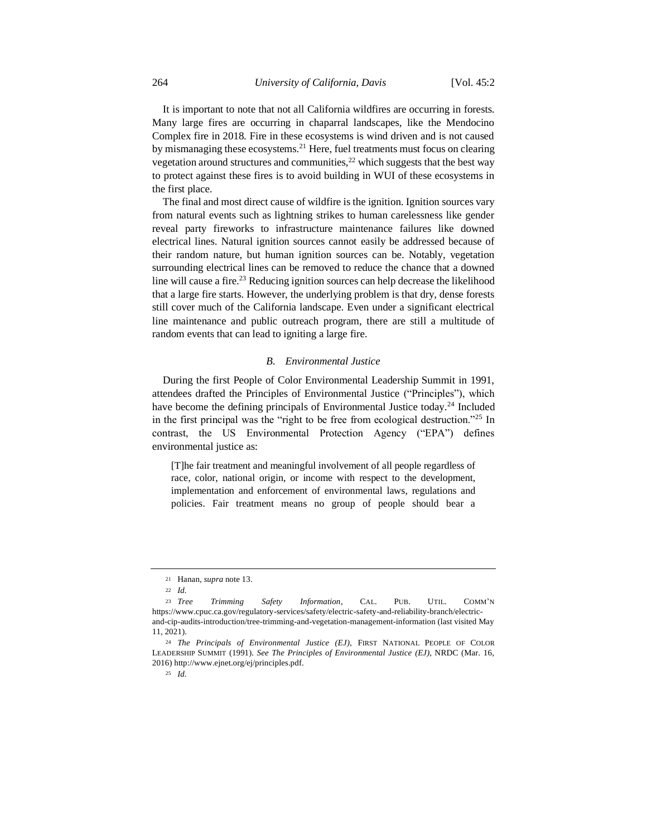It is important to note that not all California wildfires are occurring in forests. Many large fires are occurring in chaparral landscapes, like the Mendocino Complex fire in 2018. Fire in these ecosystems is wind driven and is not caused by mismanaging these ecosystems.<sup>21</sup> Here, fuel treatments must focus on clearing vegetation around structures and communities,<sup>22</sup> which suggests that the best way to protect against these fires is to avoid building in WUI of these ecosystems in the first place.

The final and most direct cause of wildfire is the ignition. Ignition sources vary from natural events such as lightning strikes to human carelessness like gender reveal party fireworks to infrastructure maintenance failures like downed electrical lines. Natural ignition sources cannot easily be addressed because of their random nature, but human ignition sources can be. Notably, vegetation surrounding electrical lines can be removed to reduce the chance that a downed line will cause a fire.<sup>23</sup> Reducing ignition sources can help decrease the likelihood that a large fire starts. However, the underlying problem is that dry, dense forests still cover much of the California landscape. Even under a significant electrical line maintenance and public outreach program, there are still a multitude of random events that can lead to igniting a large fire.

#### *B. Environmental Justice*

During the first People of Color Environmental Leadership Summit in 1991, attendees drafted the Principles of Environmental Justice ("Principles"), which have become the defining principals of Environmental Justice today.<sup>24</sup> Included in the first principal was the "right to be free from ecological destruction."<sup>25</sup> In contrast, the US Environmental Protection Agency ("EPA") defines environmental justice as:

[T]he fair treatment and meaningful involvement of all people regardless of race, color, national origin, or income with respect to the development, implementation and enforcement of environmental laws, regulations and policies. Fair treatment means no group of people should bear a

<sup>21</sup> Hanan, *supra* note 13.

<sup>22</sup> *Id.* 

<sup>23</sup> *Tree Trimming Safety Information*, CAL. PUB. UTIL. COMM'N https://www.cpuc.ca.gov/regulatory-services/safety/electric-safety-and-reliability-branch/electricand-cip-audits-introduction/tree-trimming-and-vegetation-management-information (last visited May 11, 2021).

<sup>24</sup> *The Principals of Environmental Justice (EJ)*, FIRST NATIONAL PEOPLE OF COLOR LEADERSHIP SUMMIT (1991). *See The Principles of Environmental Justice (EJ)*, NRDC (Mar. 16, 2016) http://www.ejnet.org/ej/principles.pdf.

<sup>25</sup> *Id.*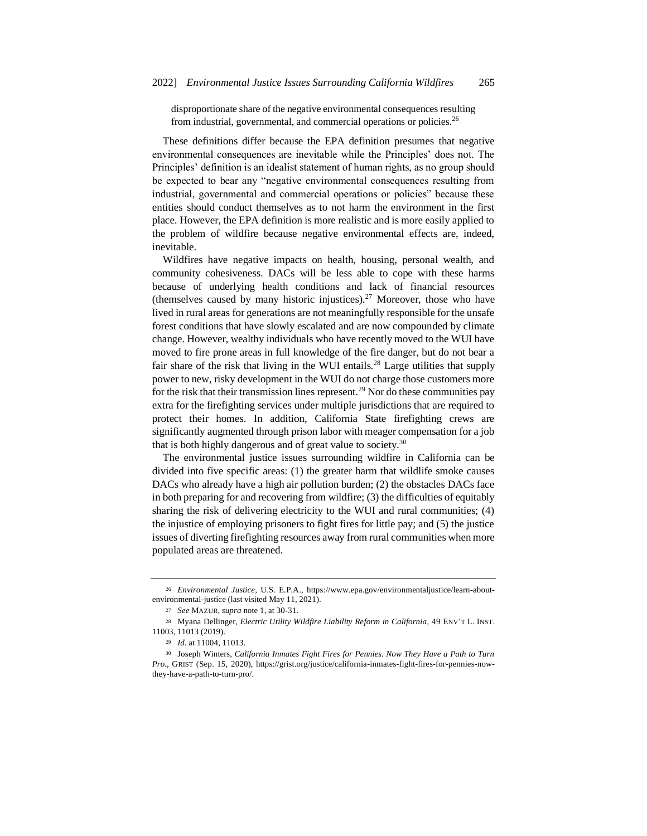disproportionate share of the negative environmental consequences resulting from industrial, governmental, and commercial operations or policies.<sup>26</sup>

These definitions differ because the EPA definition presumes that negative environmental consequences are inevitable while the Principles' does not. The Principles' definition is an idealist statement of human rights, as no group should be expected to bear any "negative environmental consequences resulting from industrial, governmental and commercial operations or policies" because these entities should conduct themselves as to not harm the environment in the first place. However, the EPA definition is more realistic and is more easily applied to the problem of wildfire because negative environmental effects are, indeed, inevitable.

Wildfires have negative impacts on health, housing, personal wealth, and community cohesiveness. DACs will be less able to cope with these harms because of underlying health conditions and lack of financial resources (themselves caused by many historic injustices).<sup>27</sup> Moreover, those who have lived in rural areas for generations are not meaningfully responsible for the unsafe forest conditions that have slowly escalated and are now compounded by climate change. However, wealthy individuals who have recently moved to the WUI have moved to fire prone areas in full knowledge of the fire danger, but do not bear a fair share of the risk that living in the WUI entails.<sup>28</sup> Large utilities that supply power to new, risky development in the WUI do not charge those customers more for the risk that their transmission lines represent.<sup>29</sup> Nor do these communities pay extra for the firefighting services under multiple jurisdictions that are required to protect their homes. In addition, California State firefighting crews are significantly augmented through prison labor with meager compensation for a job that is both highly dangerous and of great value to society.<sup>30</sup>

The environmental justice issues surrounding wildfire in California can be divided into five specific areas: (1) the greater harm that wildlife smoke causes DACs who already have a high air pollution burden; (2) the obstacles DACs face in both preparing for and recovering from wildfire; (3) the difficulties of equitably sharing the risk of delivering electricity to the WUI and rural communities; (4) the injustice of employing prisoners to fight fires for little pay; and (5) the justice issues of diverting firefighting resources away from rural communities when more populated areas are threatened.

<sup>26</sup> *Environmental Justice*, U.S. E.P.A., https://www.epa.gov/environmentaljustice/learn-aboutenvironmental-justice (last visited May 11, 2021).

<sup>27</sup> *See* MAZUR, *supra* note 1, at 30-31.

<sup>28</sup> Myana Dellinger, *Electric Utility Wildfire Liability Reform in California*, 49 ENV'T L. INST. 11003, 11013 (2019).

<sup>29</sup> *Id.* at 11004, 11013.

<sup>30</sup> Joseph Winters, *California Inmates Fight Fires for Pennies. Now They Have a Path to Turn Pro.*, GRIST (Sep. 15, 2020), https://grist.org/justice/california-inmates-fight-fires-for-pennies-nowthey-have-a-path-to-turn-pro/.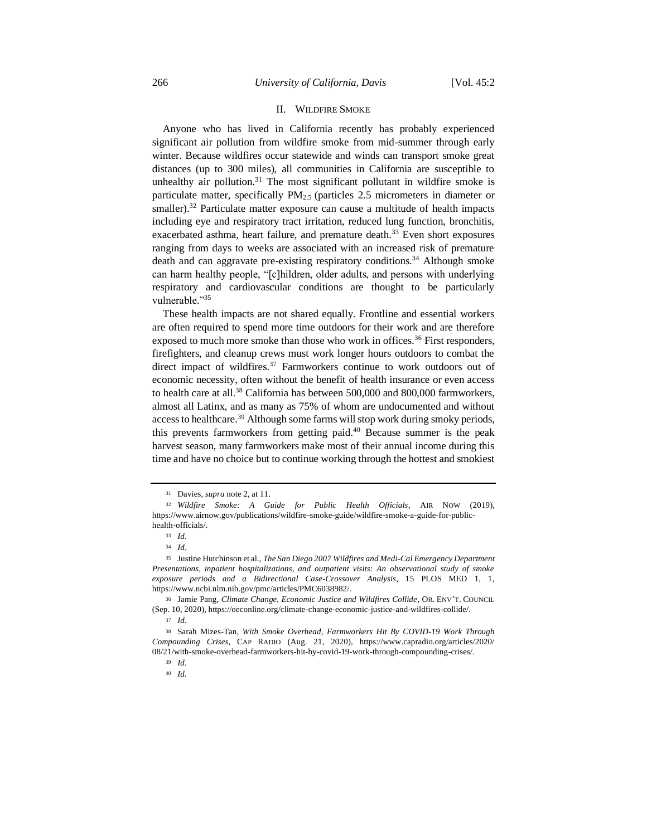## II. WILDFIRE SMOKE

Anyone who has lived in California recently has probably experienced significant air pollution from wildfire smoke from mid-summer through early winter. Because wildfires occur statewide and winds can transport smoke great distances (up to 300 miles), all communities in California are susceptible to unhealthy air pollution. $31$  The most significant pollutant in wildfire smoke is particulate matter, specifically  $PM_{2.5}$  (particles 2.5 micrometers in diameter or smaller).<sup>32</sup> Particulate matter exposure can cause a multitude of health impacts including eye and respiratory tract irritation, reduced lung function, bronchitis, exacerbated asthma, heart failure, and premature death.<sup>33</sup> Even short exposures ranging from days to weeks are associated with an increased risk of premature death and can aggravate pre-existing respiratory conditions.<sup>34</sup> Although smoke can harm healthy people, "[c]hildren, older adults, and persons with underlying respiratory and cardiovascular conditions are thought to be particularly vulnerable."<sup>35</sup>

These health impacts are not shared equally. Frontline and essential workers are often required to spend more time outdoors for their work and are therefore exposed to much more smoke than those who work in offices.<sup>36</sup> First responders, firefighters, and cleanup crews must work longer hours outdoors to combat the direct impact of wildfires.<sup>37</sup> Farmworkers continue to work outdoors out of economic necessity, often without the benefit of health insurance or even access to health care at all.<sup>38</sup> California has between 500,000 and 800,000 farmworkers, almost all Latinx, and as many as 75% of whom are undocumented and without access to healthcare.<sup>39</sup> Although some farms will stop work during smoky periods, this prevents farmworkers from getting paid. $40$  Because summer is the peak harvest season, many farmworkers make most of their annual income during this time and have no choice but to continue working through the hottest and smokiest

<sup>31</sup> Davies, *supra* note 2, at 11.

<sup>32</sup> *Wildfire Smoke: A Guide for Public Health Officials*, AIR NOW (2019), https://www.airnow.gov/publications/wildfire-smoke-guide/wildfire-smoke-a-guide-for-publichealth-officials/.

<sup>33</sup> *Id.*

<sup>34</sup> *Id.*

<sup>35</sup> Justine Hutchinson et al., *The San Diego 2007 Wildfires and Medi-Cal Emergency Department Presentations, inpatient hospitalizations, and outpatient visits: An observational study of smoke exposure periods and a Bidirectional Case-Crossover Analysis*, 15 PLOS MED 1, 1, https://www.ncbi.nlm.nih.gov/pmc/articles/PMC6038982/.

<sup>36</sup> Jamie Pang, *Climate Change, Economic Justice and Wildfires Collide*, OR. ENV'T. COUNCIL (Sep. 10, 2020), https://oeconline.org/climate-change-economic-justice-and-wildfires-collide/.

<sup>37</sup> *Id.*

<sup>38</sup> Sarah Mizes-Tan, *With Smoke Overhead, Farmworkers Hit By COVID-19 Work Through Compounding Crises*, CAP RADIO (Aug. 21, 2020), https://www.capradio.org/articles/2020/ 08/21/with-smoke-overhead-farmworkers-hit-by-covid-19-work-through-compounding-crises/.

<sup>39</sup> *Id.*

<sup>40</sup> *Id.*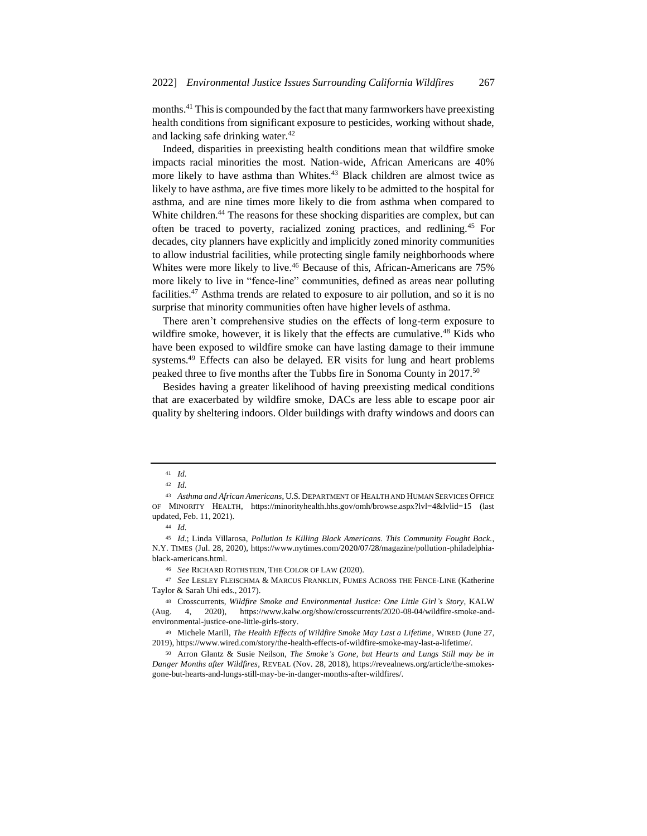months. <sup>41</sup> This is compounded by the fact that many farmworkers have preexisting health conditions from significant exposure to pesticides, working without shade, and lacking safe drinking water.<sup>42</sup>

Indeed, disparities in preexisting health conditions mean that wildfire smoke impacts racial minorities the most. Nation-wide, African Americans are 40% more likely to have asthma than Whites.<sup>43</sup> Black children are almost twice as likely to have asthma, are five times more likely to be admitted to the hospital for asthma, and are nine times more likely to die from asthma when compared to White children.<sup>44</sup> The reasons for these shocking disparities are complex, but can often be traced to poverty, racialized zoning practices, and redlining.<sup>45</sup> For decades, city planners have explicitly and implicitly zoned minority communities to allow industrial facilities, while protecting single family neighborhoods where Whites were more likely to live.<sup>46</sup> Because of this, African-Americans are 75% more likely to live in "fence-line" communities, defined as areas near polluting facilities.<sup>47</sup> Asthma trends are related to exposure to air pollution, and so it is no surprise that minority communities often have higher levels of asthma.

There aren't comprehensive studies on the effects of long-term exposure to wildfire smoke, however, it is likely that the effects are cumulative.<sup>48</sup> Kids who have been exposed to wildfire smoke can have lasting damage to their immune systems.<sup>49</sup> Effects can also be delayed. ER visits for lung and heart problems peaked three to five months after the Tubbs fire in Sonoma County in 2017.<sup>50</sup>

Besides having a greater likelihood of having preexisting medical conditions that are exacerbated by wildfire smoke, DACs are less able to escape poor air quality by sheltering indoors. Older buildings with drafty windows and doors can

<sup>46</sup> *See* RICHARD ROTHSTEIN, THE COLOR OF LAW (2020).

<sup>47</sup> *See* LESLEY FLEISCHMA & MARCUS FRANKLIN, FUMES ACROSS THE FENCE-LINE (Katherine Taylor & Sarah Uhi eds., 2017).

<sup>41</sup> *Id.*

<sup>42</sup> *Id.*

<sup>43</sup> *Asthma and African Americans*, U.S. DEPARTMENT OF HEALTH AND HUMAN SERVICES OFFICE OF MINORITY HEALTH, https://minorityhealth.hhs.gov/omh/browse.aspx?lvl=4&lvlid=15 (last updated, Feb. 11, 2021).

<sup>44</sup> *Id.*

<sup>45</sup> *Id.*; Linda Villarosa, *Pollution Is Killing Black Americans. This Community Fought Back.*, N.Y. TIMES (Jul. 28, 2020), https://www.nytimes.com/2020/07/28/magazine/pollution-philadelphiablack-americans.html.

<sup>48</sup> Crosscurrents, *Wildfire Smoke and Environmental Justice: One Little Girl's Story*, KALW (Aug. 4, 2020), https://www.kalw.org/show/crosscurrents/2020-08-04/wildfire-smoke-andenvironmental-justice-one-little-girls-story.

<sup>49</sup> Michele Marill, *The Health Effects of Wildfire Smoke May Last a Lifetime*, WIRED (June 27, 2019), https://www.wired.com/story/the-health-effects-of-wildfire-smoke-may-last-a-lifetime/.

<sup>50</sup> Arron Glantz & Susie Neilson, *The Smoke's Gone, but Hearts and Lungs Still may be in Danger Months after Wildfires*, REVEAL (Nov. 28, 2018), https://revealnews.org/article/the-smokesgone-but-hearts-and-lungs-still-may-be-in-danger-months-after-wildfires/.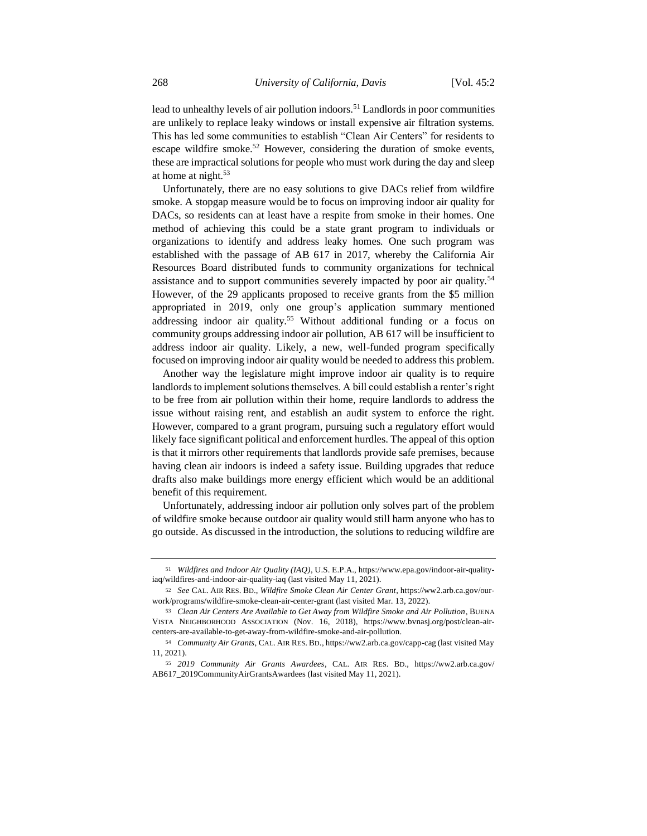lead to unhealthy levels of air pollution indoors.<sup>51</sup> Landlords in poor communities are unlikely to replace leaky windows or install expensive air filtration systems. This has led some communities to establish "Clean Air Centers" for residents to escape wildfire smoke.<sup>52</sup> However, considering the duration of smoke events, these are impractical solutions for people who must work during the day and sleep at home at night. $53$ 

Unfortunately, there are no easy solutions to give DACs relief from wildfire smoke. A stopgap measure would be to focus on improving indoor air quality for DACs, so residents can at least have a respite from smoke in their homes. One method of achieving this could be a state grant program to individuals or organizations to identify and address leaky homes. One such program was established with the passage of AB 617 in 2017, whereby the California Air Resources Board distributed funds to community organizations for technical assistance and to support communities severely impacted by poor air quality.<sup>54</sup> However, of the 29 applicants proposed to receive grants from the \$5 million appropriated in 2019, only one group's application summary mentioned addressing indoor air quality.<sup>55</sup> Without additional funding or a focus on community groups addressing indoor air pollution, AB 617 will be insufficient to address indoor air quality. Likely, a new, well-funded program specifically focused on improving indoor air quality would be needed to address this problem.

Another way the legislature might improve indoor air quality is to require landlords to implement solutions themselves. A bill could establish a renter's right to be free from air pollution within their home, require landlords to address the issue without raising rent, and establish an audit system to enforce the right. However, compared to a grant program, pursuing such a regulatory effort would likely face significant political and enforcement hurdles. The appeal of this option is that it mirrors other requirements that landlords provide safe premises, because having clean air indoors is indeed a safety issue. Building upgrades that reduce drafts also make buildings more energy efficient which would be an additional benefit of this requirement.

Unfortunately, addressing indoor air pollution only solves part of the problem of wildfire smoke because outdoor air quality would still harm anyone who has to go outside. As discussed in the introduction, the solutions to reducing wildfire are

<sup>51</sup> *Wildfires and Indoor Air Quality (IAQ)*, U.S. E.P.A., https://www.epa.gov/indoor-air-qualityiaq/wildfires-and-indoor-air-quality-iaq (last visited May 11, 2021).

<sup>52</sup> *See* CAL. AIR RES. BD., *Wildfire Smoke Clean Air Center Grant*, https://ww2.arb.ca.gov/ourwork/programs/wildfire-smoke-clean-air-center-grant (last visited Mar. 13, 2022).

<sup>53</sup> *Clean Air Centers Are Available to Get Away from Wildfire Smoke and Air Pollution*, BUENA VISTA NEIGHBORHOOD ASSOCIATION (Nov. 16, 2018), https://www.bvnasj.org/post/clean-aircenters-are-available-to-get-away-from-wildfire-smoke-and-air-pollution.

<sup>54</sup> *Community Air Grants*, CAL. AIR RES. BD., https://ww2.arb.ca.gov/capp-cag (last visited May 11, 2021).

<sup>55</sup> *2019 Community Air Grants Awardees*, CAL. AIR RES. BD., https://ww2.arb.ca.gov/ AB617\_2019CommunityAirGrantsAwardees (last visited May 11, 2021).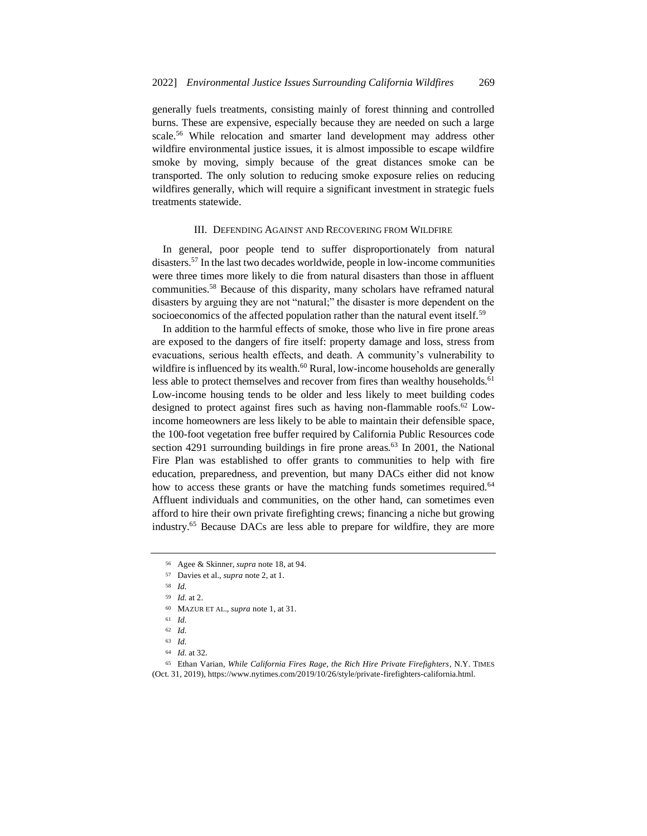generally fuels treatments, consisting mainly of forest thinning and controlled burns. These are expensive, especially because they are needed on such a large scale.<sup>56</sup> While relocation and smarter land development may address other wildfire environmental justice issues, it is almost impossible to escape wildfire smoke by moving, simply because of the great distances smoke can be transported. The only solution to reducing smoke exposure relies on reducing wildfires generally, which will require a significant investment in strategic fuels treatments statewide.

## III. DEFENDING AGAINST AND RECOVERING FROM WILDFIRE

In general, poor people tend to suffer disproportionately from natural disasters.<sup>57</sup> In the last two decades worldwide, people in low-income communities were three times more likely to die from natural disasters than those in affluent communities.<sup>58</sup> Because of this disparity, many scholars have reframed natural disasters by arguing they are not "natural;" the disaster is more dependent on the socioeconomics of the affected population rather than the natural event itself.<sup>59</sup>

In addition to the harmful effects of smoke, those who live in fire prone areas are exposed to the dangers of fire itself: property damage and loss, stress from evacuations, serious health effects, and death. A community's vulnerability to wildfire is influenced by its wealth.<sup>60</sup> Rural, low-income households are generally less able to protect themselves and recover from fires than wealthy households.<sup>61</sup> Low-income housing tends to be older and less likely to meet building codes designed to protect against fires such as having non-flammable roofs.<sup>62</sup> Lowincome homeowners are less likely to be able to maintain their defensible space, the 100-foot vegetation free buffer required by California Public Resources code section 4291 surrounding buildings in fire prone areas. $63$  In 2001, the National Fire Plan was established to offer grants to communities to help with fire education, preparedness, and prevention, but many DACs either did not know how to access these grants or have the matching funds sometimes required.<sup>64</sup> Affluent individuals and communities, on the other hand, can sometimes even afford to hire their own private firefighting crews; financing a niche but growing industry.<sup>65</sup> Because DACs are less able to prepare for wildfire, they are more

<sup>56</sup> Agee & Skinner, *supra* note 18, at 94.

<sup>57</sup> Davies et al., *supra* note 2, at 1.

<sup>58</sup> *Id.*

<sup>59</sup> *Id.* at 2.

<sup>60</sup> MAZUR ET AL., *supra* note 1, at 31.

<sup>61</sup> *Id.*

<sup>62</sup> *Id.*

<sup>63</sup> *Id.*

<sup>64</sup> *Id.* at 32*.*

<sup>65</sup> Ethan Varian, *While California Fires Rage, the Rich Hire Private Firefighters*, N.Y. TIMES (Oct. 31, 2019), https://www.nytimes.com/2019/10/26/style/private-firefighters-california.html.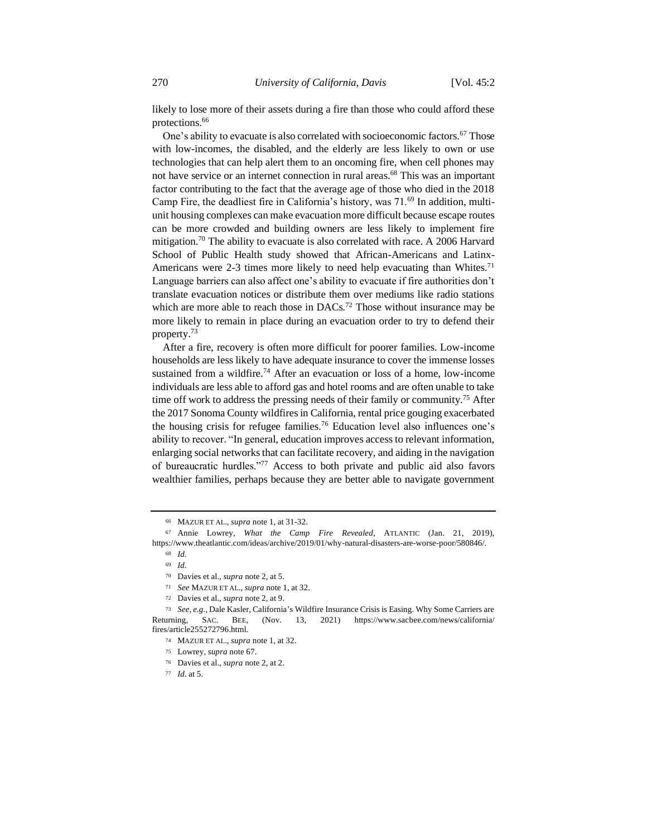likely to lose more of their assets during a fire than those who could afford these protections.<sup>66</sup>

One's ability to evacuate is also correlated with socioeconomic factors.<sup>67</sup> Those with low-incomes, the disabled, and the elderly are less likely to own or use technologies that can help alert them to an oncoming fire, when cell phones may not have service or an internet connection in rural areas.<sup>68</sup> This was an important factor contributing to the fact that the average age of those who died in the 2018 Camp Fire, the deadliest fire in California's history, was 71.<sup>69</sup> In addition, multiunit housing complexes can make evacuation more difficult because escape routes can be more crowded and building owners are less likely to implement fire mitigation.<sup>70</sup> The ability to evacuate is also correlated with race. A 2006 Harvard School of Public Health study showed that African-Americans and Latinx-Americans were 2-3 times more likely to need help evacuating than Whites.<sup>71</sup> Language barriers can also affect one's ability to evacuate if fire authorities don't translate evacuation notices or distribute them over mediums like radio stations which are more able to reach those in  $DACs$ .<sup>72</sup> Those without insurance may be more likely to remain in place during an evacuation order to try to defend their property.<sup>73</sup>

After a fire, recovery is often more difficult for poorer families. Low-income households are less likely to have adequate insurance to cover the immense losses sustained from a wildfire.<sup>74</sup> After an evacuation or loss of a home, low-income individuals are less able to afford gas and hotel rooms and are often unable to take time off work to address the pressing needs of their family or community.<sup>75</sup> After the 2017 Sonoma County wildfires in California, rental price gouging exacerbated the housing crisis for refugee families.<sup>76</sup> Education level also influences one's ability to recover. "In general, education improves access to relevant information, enlarging social networks that can facilitate recovery, and aiding in the navigation of bureaucratic hurdles."<sup>77</sup> Access to both private and public aid also favors wealthier families, perhaps because they are better able to navigate government

<sup>66</sup> MAZUR ET AL., *supra* note 1, at 31-32.

<sup>67</sup> Annie Lowrey, *What the Camp Fire Revealed*, ATLANTIC (Jan. 21, 2019), https://www.theatlantic.com/ideas/archive/2019/01/why-natural-disasters-are-worse-poor/580846/.

<sup>68</sup> *Id.*

<sup>69</sup> *Id.*

<sup>70</sup> Davies et al., *supra* note 2, at 5.

<sup>71</sup> *See* MAZUR ET AL., *supra* note 1, at 32.

<sup>72</sup> Davies et al., *supra* note 2, at 9.

<sup>73</sup> *See*, *e.g.*, Dale Kasler, California's Wildfire Insurance Crisis is Easing. Why Some Carriers are Returning, SAC. BEE, (Nov. 13, 2021) https://www.sacbee.com/news/california/ fires/article255272796.html.

<sup>74</sup> MAZUR ET AL., *supra* note 1, at 32.

<sup>75</sup> Lowrey, *supra* note 67.

<sup>76</sup> Davies et al., *supra* note 2, at 2.

<sup>77</sup> *Id.* at 5.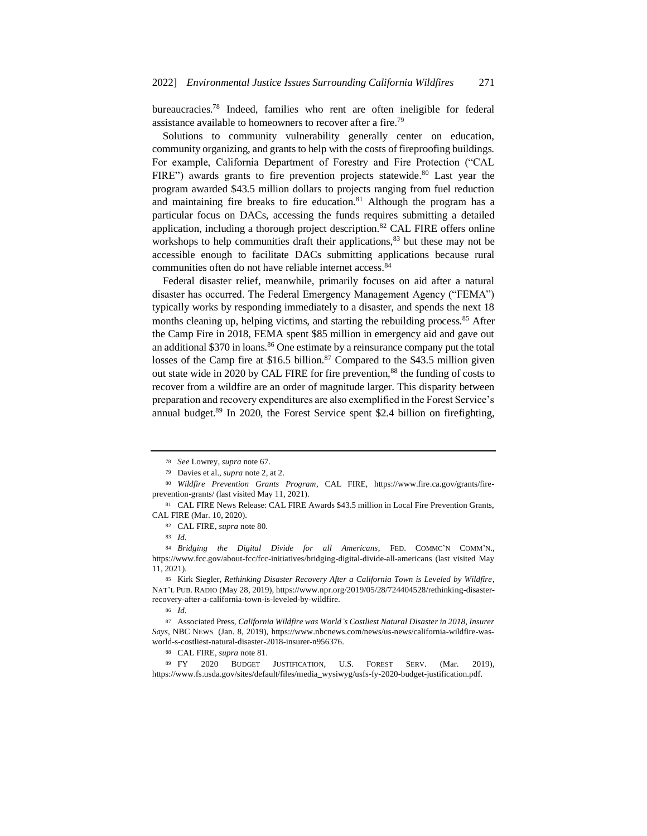bureaucracies.<sup>78</sup> Indeed, families who rent are often ineligible for federal assistance available to homeowners to recover after a fire.<sup>79</sup>

Solutions to community vulnerability generally center on education, community organizing, and grants to help with the costs of fireproofing buildings. For example, California Department of Forestry and Fire Protection ("CAL FIRE") awards grants to fire prevention projects statewide.<sup>80</sup> Last year the program awarded \$43.5 million dollars to projects ranging from fuel reduction and maintaining fire breaks to fire education.<sup>81</sup> Although the program has a particular focus on DACs, accessing the funds requires submitting a detailed application, including a thorough project description.<sup>82</sup> CAL FIRE offers online workshops to help communities draft their applications,<sup>83</sup> but these may not be accessible enough to facilitate DACs submitting applications because rural communities often do not have reliable internet access.<sup>84</sup>

Federal disaster relief, meanwhile, primarily focuses on aid after a natural disaster has occurred. The Federal Emergency Management Agency ("FEMA") typically works by responding immediately to a disaster, and spends the next 18 months cleaning up, helping victims, and starting the rebuilding process.<sup>85</sup> After the Camp Fire in 2018, FEMA spent \$85 million in emergency aid and gave out an additional \$370 in loans.<sup>86</sup> One estimate by a reinsurance company put the total losses of the Camp fire at \$16.5 billion.<sup>87</sup> Compared to the \$43.5 million given out state wide in 2020 by CAL FIRE for fire prevention,<sup>88</sup> the funding of costs to recover from a wildfire are an order of magnitude larger. This disparity between preparation and recovery expenditures are also exemplified in the Forest Service's annual budget.<sup>89</sup> In 2020, the Forest Service spent \$2.4 billion on firefighting,

<sup>86</sup> *Id.* 

<sup>87</sup> Associated Press, *California Wildfire was World's Costliest Natural Disaster in 2018, Insurer Says*, NBC NEWS (Jan. 8, 2019), https://www.nbcnews.com/news/us-news/california-wildfire-wasworld-s-costliest-natural-disaster-2018-insurer-n956376.

<sup>89</sup> FY 2020 BUDGET JUSTIFICATION, U.S. FOREST SERV. (Mar. 2019), https://www.fs.usda.gov/sites/default/files/media\_wysiwyg/usfs-fy-2020-budget-justification.pdf.

<sup>78</sup> *See* Lowrey, *supra* note 67.

<sup>79</sup> Davies et al., *supra* note 2, at 2.

<sup>80</sup> *Wildfire Prevention Grants Program*, CAL FIRE, https://www.fire.ca.gov/grants/fireprevention-grants/ (last visited May 11, 2021).

<sup>81</sup> CAL FIRE News Release: CAL FIRE Awards \$43.5 million in Local Fire Prevention Grants, CAL FIRE (Mar. 10, 2020).

<sup>82</sup> CAL FIRE, *supra* note 80.

<sup>83</sup> *Id.* 

<sup>84</sup> *Bridging the Digital Divide for all Americans*, FED. COMMC'N COMM'N., https://www.fcc.gov/about-fcc/fcc-initiatives/bridging-digital-divide-all-americans (last visited May 11, 2021).

<sup>85</sup> Kirk Siegler, *Rethinking Disaster Recovery After a California Town is Leveled by Wildfire*, NAT'L PUB. RADIO (May 28, 2019), https://www.npr.org/2019/05/28/724404528/rethinking-disasterrecovery-after-a-california-town-is-leveled-by-wildfire.

<sup>88</sup> CAL FIRE, *supra* note 81.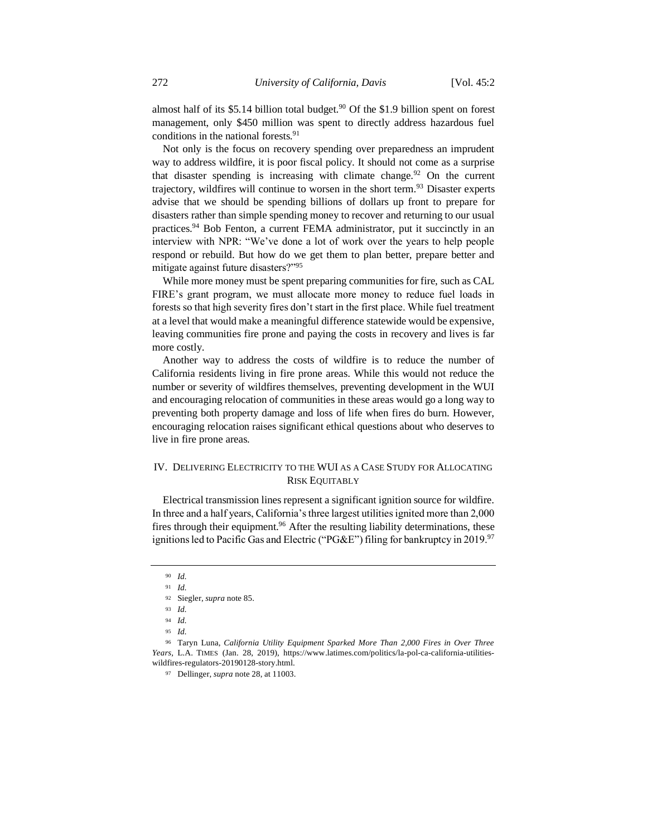almost half of its \$5.14 billion total budget.<sup>90</sup> Of the \$1.9 billion spent on forest management, only \$450 million was spent to directly address hazardous fuel conditions in the national forests.<sup>91</sup>

Not only is the focus on recovery spending over preparedness an imprudent way to address wildfire, it is poor fiscal policy. It should not come as a surprise that disaster spending is increasing with climate change.<sup>92</sup> On the current trajectory, wildfires will continue to worsen in the short term.<sup>93</sup> Disaster experts advise that we should be spending billions of dollars up front to prepare for disasters rather than simple spending money to recover and returning to our usual practices.<sup>94</sup> Bob Fenton, a current FEMA administrator, put it succinctly in an interview with NPR: "We've done a lot of work over the years to help people respond or rebuild. But how do we get them to plan better, prepare better and mitigate against future disasters?"<sup>95</sup>

While more money must be spent preparing communities for fire, such as CAL FIRE's grant program, we must allocate more money to reduce fuel loads in forests so that high severity fires don't start in the first place. While fuel treatment at a level that would make a meaningful difference statewide would be expensive, leaving communities fire prone and paying the costs in recovery and lives is far more costly.

Another way to address the costs of wildfire is to reduce the number of California residents living in fire prone areas. While this would not reduce the number or severity of wildfires themselves, preventing development in the WUI and encouraging relocation of communities in these areas would go a long way to preventing both property damage and loss of life when fires do burn. However, encouraging relocation raises significant ethical questions about who deserves to live in fire prone areas.

## IV. DELIVERING ELECTRICITY TO THE WUI AS A CASE STUDY FOR ALLOCATING RISK EQUITABLY

Electrical transmission lines represent a significant ignition source for wildfire. In three and a half years, California's three largest utilities ignited more than 2,000 fires through their equipment.<sup>96</sup> After the resulting liability determinations, these ignitions led to Pacific Gas and Electric ("PG&E") filing for bankruptcy in 2019.<sup>97</sup>

<sup>90</sup> *Id.*

<sup>91</sup> *Id.*

<sup>92</sup> Siegler, *supra* note 85.

<sup>93</sup> *Id.*

<sup>94</sup> *Id.*

<sup>95</sup> *Id.* 

<sup>96</sup> Taryn Luna, *California Utility Equipment Sparked More Than 2,000 Fires in Over Three Years,* L.A. TIMES (Jan. 28, 2019), https://www.latimes.com/politics/la-pol-ca-california-utilitieswildfires-regulators-20190128-story.html.

<sup>97</sup> Dellinger, *supra* note 28, at 11003.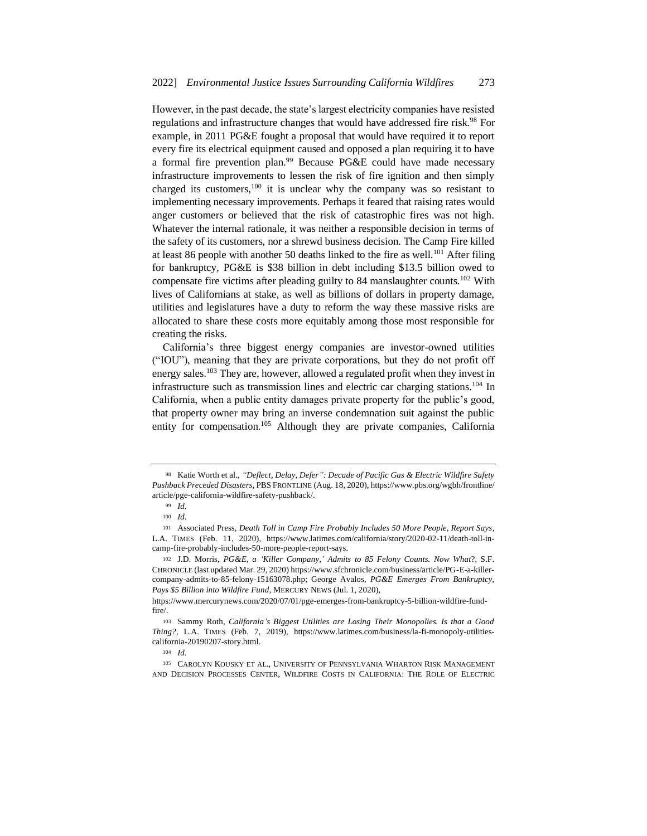However, in the past decade, the state's largest electricity companies have resisted regulations and infrastructure changes that would have addressed fire risk.<sup>98</sup> For example, in 2011 PG&E fought a proposal that would have required it to report every fire its electrical equipment caused and opposed a plan requiring it to have a formal fire prevention plan.<sup>99</sup> Because PG&E could have made necessary infrastructure improvements to lessen the risk of fire ignition and then simply charged its customers, $100$  it is unclear why the company was so resistant to implementing necessary improvements. Perhaps it feared that raising rates would anger customers or believed that the risk of catastrophic fires was not high. Whatever the internal rationale, it was neither a responsible decision in terms of the safety of its customers, nor a shrewd business decision. The Camp Fire killed at least 86 people with another 50 deaths linked to the fire as well.<sup>101</sup> After filing for bankruptcy, PG&E is \$38 billion in debt including \$13.5 billion owed to compensate fire victims after pleading guilty to 84 manslaughter counts.<sup>102</sup> With lives of Californians at stake, as well as billions of dollars in property damage, utilities and legislatures have a duty to reform the way these massive risks are allocated to share these costs more equitably among those most responsible for creating the risks.

California's three biggest energy companies are investor-owned utilities ("IOU"), meaning that they are private corporations, but they do not profit off energy sales.<sup>103</sup> They are, however, allowed a regulated profit when they invest in infrastructure such as transmission lines and electric car charging stations.<sup>104</sup> In California, when a public entity damages private property for the public's good, that property owner may bring an inverse condemnation suit against the public entity for compensation.<sup>105</sup> Although they are private companies, California

<sup>98</sup> Katie Worth et al., *"Deflect, Delay, Defer": Decade of Pacific Gas & Electric Wildfire Safety Pushback Preceded Disasters*, PBS FRONTLINE (Aug. 18, 2020), https://www.pbs.org/wgbh/frontline/ article/pge-california-wildfire-safety-pushback/.

<sup>99</sup> *Id.*

<sup>100</sup> *Id.*

<sup>101</sup> Associated Press, *Death Toll in Camp Fire Probably Includes 50 More People, Report Says*, L.A. TIMES (Feb. 11, 2020), https://www.latimes.com/california/story/2020-02-11/death-toll-incamp-fire-probably-includes-50-more-people-report-says.

<sup>102</sup> J.D. Morris, *PG&E, a 'Killer Company,' Admits to 85 Felony Counts. Now What*?, S.F. CHRONICLE (last updated Mar. 29, 2020) https://www.sfchronicle.com/business/article/PG-E-a-killercompany-admits-to-85-felony-15163078.php; George Avalos, *PG&E Emerges From Bankruptcy, Pays \$5 Billion into Wildfire Fund*, MERCURY NEWS (Jul. 1, 2020),

https://www.mercurynews.com/2020/07/01/pge-emerges-from-bankruptcy-5-billion-wildfire-fundfire/.

<sup>103</sup> Sammy Roth, *California's Biggest Utilities are Losing Their Monopolies. Is that a Good Thing?*, L.A. TIMES (Feb. 7, 2019), https://www.latimes.com/business/la-fi-monopoly-utilitiescalifornia-20190207-story.html.

<sup>104</sup> *Id.*

<sup>105</sup> CAROLYN KOUSKY ET AL., UNIVERSITY OF PENNSYLVANIA WHARTON RISK MANAGEMENT AND DECISION PROCESSES CENTER, WILDFIRE COSTS IN CALIFORNIA: THE ROLE OF ELECTRIC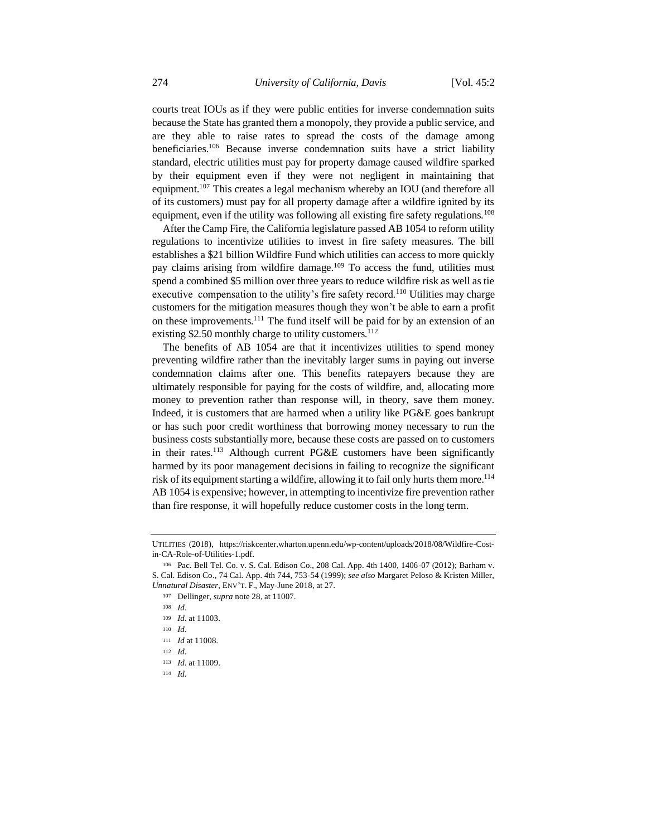courts treat IOUs as if they were public entities for inverse condemnation suits because the State has granted them a monopoly, they provide a public service, and are they able to raise rates to spread the costs of the damage among beneficiaries.<sup>106</sup> Because inverse condemnation suits have a strict liability standard, electric utilities must pay for property damage caused wildfire sparked by their equipment even if they were not negligent in maintaining that equipment.<sup>107</sup> This creates a legal mechanism whereby an IOU (and therefore all of its customers) must pay for all property damage after a wildfire ignited by its equipment, even if the utility was following all existing fire safety regulations.<sup>108</sup>

After the Camp Fire, the California legislature passed AB 1054 to reform utility regulations to incentivize utilities to invest in fire safety measures. The bill establishes a \$21 billion Wildfire Fund which utilities can access to more quickly pay claims arising from wildfire damage.<sup>109</sup> To access the fund, utilities must spend a combined \$5 million over three years to reduce wildfire risk as well as tie executive compensation to the utility's fire safety record.<sup>110</sup> Utilities may charge customers for the mitigation measures though they won't be able to earn a profit on these improvements.<sup>111</sup> The fund itself will be paid for by an extension of an existing \$2.50 monthly charge to utility customers.<sup>112</sup>

The benefits of AB 1054 are that it incentivizes utilities to spend money preventing wildfire rather than the inevitably larger sums in paying out inverse condemnation claims after one. This benefits ratepayers because they are ultimately responsible for paying for the costs of wildfire, and, allocating more money to prevention rather than response will, in theory, save them money. Indeed, it is customers that are harmed when a utility like PG&E goes bankrupt or has such poor credit worthiness that borrowing money necessary to run the business costs substantially more, because these costs are passed on to customers in their rates.<sup>113</sup> Although current PG&E customers have been significantly harmed by its poor management decisions in failing to recognize the significant risk of its equipment starting a wildfire, allowing it to fail only hurts them more.<sup>114</sup> AB 1054 is expensive; however, in attempting to incentivize fire prevention rather than fire response, it will hopefully reduce customer costs in the long term.

UTILITIES (2018), https://riskcenter.wharton.upenn.edu/wp-content/uploads/2018/08/Wildfire-Costin-CA-Role-of-Utilities-1.pdf.

<sup>106</sup> Pac. Bell Tel. Co. v. S. Cal. Edison Co., 208 Cal. App. 4th 1400, 1406-07 (2012); Barham v. S. Cal. Edison Co., 74 Cal. App. 4th 744, 753-54 (1999); *see also* Margaret Peloso & Kristen Miller, *Unnatural Disaster*, ENV'T. F., May-June 2018, at 27.

<sup>107</sup> Dellinger, *supra* note 28, at 11007.

<sup>108</sup> *Id.* 

<sup>109</sup> *Id.* at 11003.

<sup>110</sup> *Id.*

<sup>111</sup> *Id* at 11008*.* 

<sup>112</sup> *Id.*

<sup>113</sup> *Id.* at 11009.

<sup>114</sup> *Id.*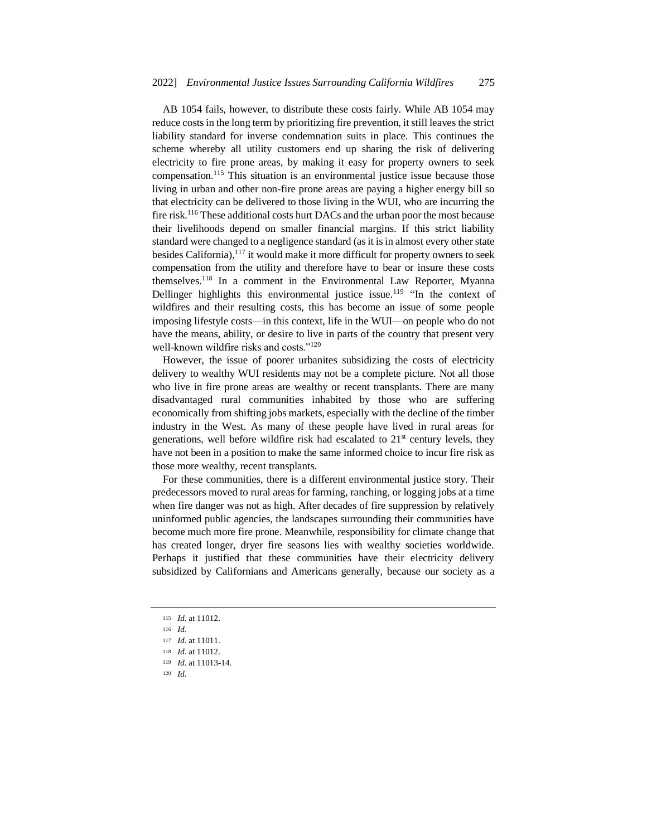AB 1054 fails, however, to distribute these costs fairly. While AB 1054 may reduce costs in the long term by prioritizing fire prevention, it still leaves the strict liability standard for inverse condemnation suits in place. This continues the scheme whereby all utility customers end up sharing the risk of delivering electricity to fire prone areas, by making it easy for property owners to seek compensation.<sup>115</sup> This situation is an environmental justice issue because those living in urban and other non-fire prone areas are paying a higher energy bill so that electricity can be delivered to those living in the WUI, who are incurring the fire risk.<sup>116</sup> These additional costs hurt DACs and the urban poor the most because their livelihoods depend on smaller financial margins. If this strict liability standard were changed to a negligence standard (as it is in almost every other state besides California),<sup>117</sup> it would make it more difficult for property owners to seek compensation from the utility and therefore have to bear or insure these costs themselves.<sup>118</sup> In a comment in the Environmental Law Reporter, Myanna Dellinger highlights this environmental justice issue.<sup>119</sup> "In the context of wildfires and their resulting costs, this has become an issue of some people imposing lifestyle costs—in this context, life in the WUI—on people who do not have the means, ability, or desire to live in parts of the country that present very well-known wildfire risks and costs."<sup>120</sup>

However, the issue of poorer urbanites subsidizing the costs of electricity delivery to wealthy WUI residents may not be a complete picture. Not all those who live in fire prone areas are wealthy or recent transplants. There are many disadvantaged rural communities inhabited by those who are suffering economically from shifting jobs markets, especially with the decline of the timber industry in the West. As many of these people have lived in rural areas for generations, well before wildfire risk had escalated to  $21<sup>st</sup>$  century levels, they have not been in a position to make the same informed choice to incur fire risk as those more wealthy, recent transplants.

For these communities, there is a different environmental justice story. Their predecessors moved to rural areas for farming, ranching, or logging jobs at a time when fire danger was not as high. After decades of fire suppression by relatively uninformed public agencies, the landscapes surrounding their communities have become much more fire prone. Meanwhile, responsibility for climate change that has created longer, dryer fire seasons lies with wealthy societies worldwide. Perhaps it justified that these communities have their electricity delivery subsidized by Californians and Americans generally, because our society as a

<sup>115</sup> *Id.* at 11012.

<sup>116</sup> *Id.*

<sup>117</sup> *Id.* at 11011.

<sup>118</sup> *Id.* at 11012.

<sup>119</sup> *Id.* at 11013-14.

<sup>120</sup> *Id.*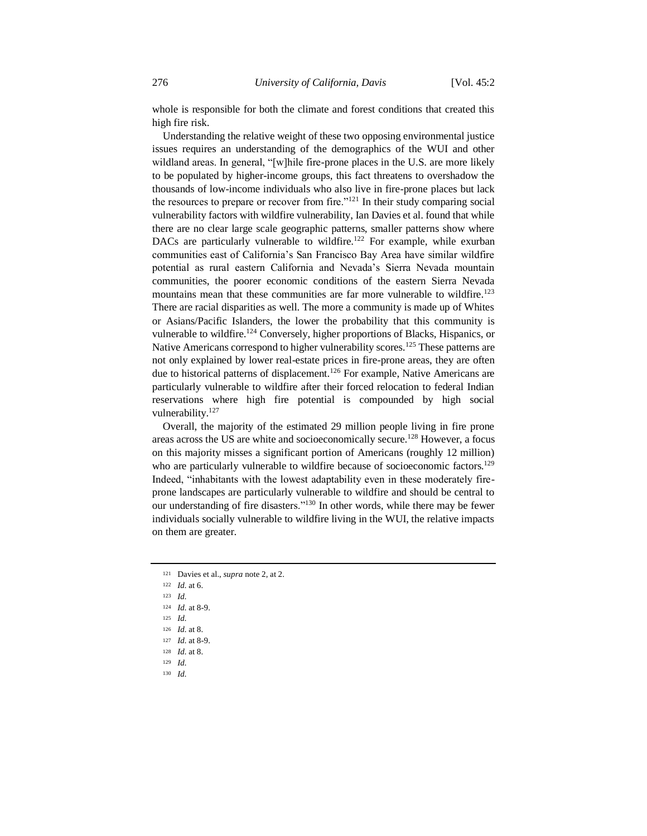whole is responsible for both the climate and forest conditions that created this high fire risk.

Understanding the relative weight of these two opposing environmental justice issues requires an understanding of the demographics of the WUI and other wildland areas. In general, "[w]hile fire-prone places in the U.S. are more likely to be populated by higher-income groups, this fact threatens to overshadow the thousands of low-income individuals who also live in fire-prone places but lack the resources to prepare or recover from fire."<sup>121</sup> In their study comparing social vulnerability factors with wildfire vulnerability, Ian Davies et al. found that while there are no clear large scale geographic patterns, smaller patterns show where DACs are particularly vulnerable to wildfire.<sup>122</sup> For example, while exurban communities east of California's San Francisco Bay Area have similar wildfire potential as rural eastern California and Nevada's Sierra Nevada mountain communities, the poorer economic conditions of the eastern Sierra Nevada mountains mean that these communities are far more vulnerable to wildfire.<sup>123</sup> There are racial disparities as well. The more a community is made up of Whites or Asians/Pacific Islanders, the lower the probability that this community is vulnerable to wildfire.<sup>124</sup> Conversely, higher proportions of Blacks, Hispanics, or Native Americans correspond to higher vulnerability scores.<sup>125</sup> These patterns are not only explained by lower real-estate prices in fire-prone areas, they are often due to historical patterns of displacement.<sup>126</sup> For example, Native Americans are particularly vulnerable to wildfire after their forced relocation to federal Indian reservations where high fire potential is compounded by high social vulnerability.<sup>127</sup>

Overall, the majority of the estimated 29 million people living in fire prone areas across the US are white and socioeconomically secure.<sup>128</sup> However, a focus on this majority misses a significant portion of Americans (roughly 12 million) who are particularly vulnerable to wildfire because of socioeconomic factors.<sup>129</sup> Indeed, "inhabitants with the lowest adaptability even in these moderately fireprone landscapes are particularly vulnerable to wildfire and should be central to our understanding of fire disasters."<sup>130</sup> In other words, while there may be fewer individuals socially vulnerable to wildfire living in the WUI, the relative impacts on them are greater.

- <sup>121</sup> Davies et al., *supra* note 2, at 2.
- <sup>122</sup> *Id.* at 6.
- <sup>123</sup> *Id.*
- <sup>124</sup> *Id.* at 8-9.
- <sup>125</sup> *Id.*
- <sup>126</sup> *Id.* at 8.
- <sup>127</sup> *Id.* at 8-9.
- <sup>128</sup> *Id.* at 8.
- <sup>129</sup> *Id.*
- <sup>130</sup> *Id.*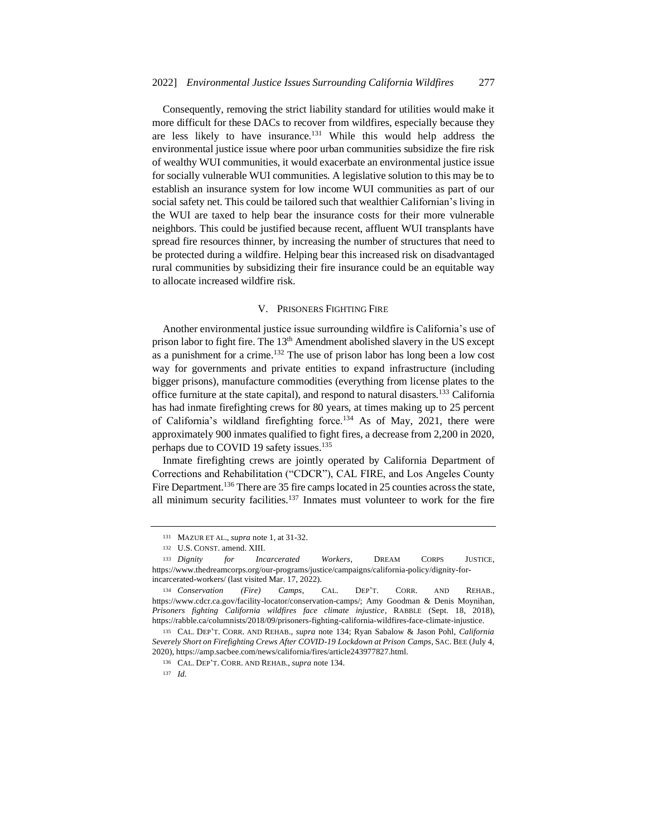Consequently, removing the strict liability standard for utilities would make it more difficult for these DACs to recover from wildfires, especially because they are less likely to have insurance.<sup>131</sup> While this would help address the environmental justice issue where poor urban communities subsidize the fire risk of wealthy WUI communities, it would exacerbate an environmental justice issue for socially vulnerable WUI communities. A legislative solution to this may be to establish an insurance system for low income WUI communities as part of our social safety net. This could be tailored such that wealthier Californian's living in the WUI are taxed to help bear the insurance costs for their more vulnerable neighbors. This could be justified because recent, affluent WUI transplants have spread fire resources thinner, by increasing the number of structures that need to be protected during a wildfire. Helping bear this increased risk on disadvantaged rural communities by subsidizing their fire insurance could be an equitable way to allocate increased wildfire risk.

#### V. PRISONERS FIGHTING FIRE

Another environmental justice issue surrounding wildfire is California's use of prison labor to fight fire. The 13<sup>th</sup> Amendment abolished slavery in the US except as a punishment for a crime.<sup>132</sup> The use of prison labor has long been a low cost way for governments and private entities to expand infrastructure (including bigger prisons), manufacture commodities (everything from license plates to the office furniture at the state capital), and respond to natural disasters.<sup>133</sup> California has had inmate firefighting crews for 80 years, at times making up to 25 percent of California's wildland firefighting force.<sup>134</sup> As of May, 2021, there were approximately 900 inmates qualified to fight fires, a decrease from 2,200 in 2020, perhaps due to COVID 19 safety issues.<sup>135</sup>

Inmate firefighting crews are jointly operated by California Department of Corrections and Rehabilitation ("CDCR"), CAL FIRE, and Los Angeles County Fire Department.<sup>136</sup> There are 35 fire camps located in 25 counties across the state, all minimum security facilities.<sup>137</sup> Inmates must volunteer to work for the fire

<sup>131</sup> MAZUR ET AL., *supra* note 1, at 31-32.

<sup>132</sup> U.S. CONST. amend. XIII.

<sup>133</sup> *Dignity for Incarcerated Workers*, DREAM CORPS JUSTICE, https://www.thedreamcorps.org/our-programs/justice/campaigns/california-policy/dignity-forincarcerated-workers/ (last visited Mar. 17, 2022).

<sup>134</sup> *Conservation (Fire) Camps*, CAL. DEP'T. CORR. AND REHAB., https://www.cdcr.ca.gov/facility-locator/conservation-camps/; Amy Goodman & Denis Moynihan, *Prisoners fighting California wildfires face climate injustice*, RABBLE (Sept. 18, 2018), https://rabble.ca/columnists/2018/09/prisoners-fighting-california-wildfires-face-climate-injustice.

<sup>135</sup> CAL. DEP'T. CORR. AND REHAB., *supra* note 134; Ryan Sabalow & Jason Pohl, *California Severely Short on Firefighting Crews After COVID-19 Lockdown at Prison Camps*, SAC. BEE (July 4, 2020), https://amp.sacbee.com/news/california/fires/article243977827.html.

<sup>136</sup> CAL. DEP'T. CORR. AND REHAB., *supra* note 134.

<sup>137</sup> *Id.*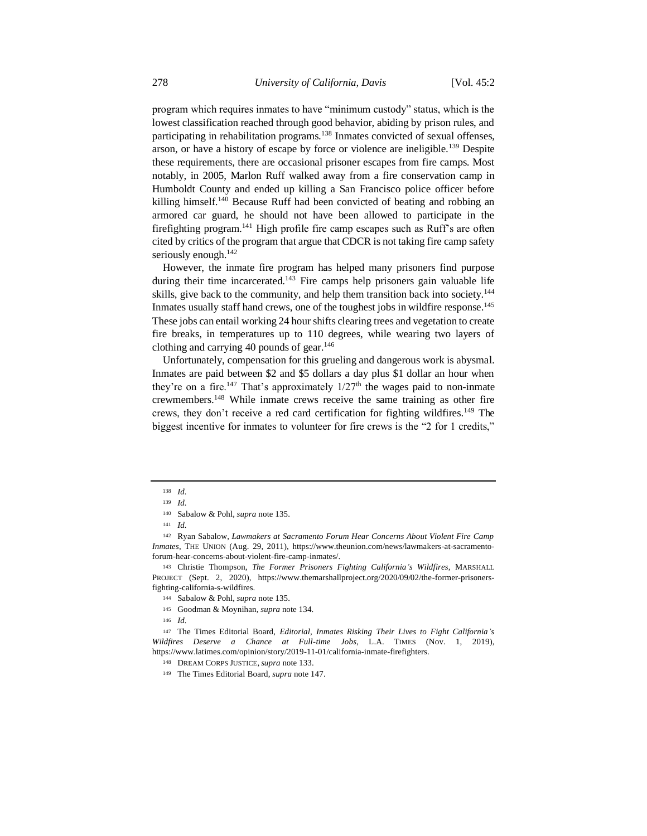program which requires inmates to have "minimum custody" status, which is the lowest classification reached through good behavior, abiding by prison rules, and participating in rehabilitation programs.<sup>138</sup> Inmates convicted of sexual offenses, arson, or have a history of escape by force or violence are ineligible.<sup>139</sup> Despite these requirements, there are occasional prisoner escapes from fire camps. Most notably, in 2005, Marlon Ruff walked away from a fire conservation camp in Humboldt County and ended up killing a San Francisco police officer before killing himself.<sup>140</sup> Because Ruff had been convicted of beating and robbing an armored car guard, he should not have been allowed to participate in the firefighting program.<sup>141</sup> High profile fire camp escapes such as Ruff's are often cited by critics of the program that argue that CDCR is not taking fire camp safety seriously enough.<sup>142</sup>

However, the inmate fire program has helped many prisoners find purpose during their time incarcerated.<sup>143</sup> Fire camps help prisoners gain valuable life skills, give back to the community, and help them transition back into society.<sup>144</sup> Inmates usually staff hand crews, one of the toughest jobs in wildfire response.<sup>145</sup> These jobs can entail working 24 hour shifts clearing trees and vegetation to create fire breaks, in temperatures up to 110 degrees, while wearing two layers of clothing and carrying 40 pounds of gear.<sup>146</sup>

Unfortunately, compensation for this grueling and dangerous work is abysmal. Inmates are paid between \$2 and \$5 dollars a day plus \$1 dollar an hour when they're on a fire.<sup>147</sup> That's approximately  $1/27<sup>th</sup>$  the wages paid to non-inmate crewmembers.<sup>148</sup> While inmate crews receive the same training as other fire crews, they don't receive a red card certification for fighting wildfires.<sup>149</sup> The biggest incentive for inmates to volunteer for fire crews is the "2 for 1 credits,"

<sup>138</sup> *Id.*

<sup>139</sup> *Id.*

<sup>140</sup> Sabalow & Pohl, *supra* note 135.

<sup>141</sup> *Id.* 

<sup>142</sup> Ryan Sabalow, *Lawmakers at Sacramento Forum Hear Concerns About Violent Fire Camp Inmates*, THE UNION (Aug. 29, 2011), https://www.theunion.com/news/lawmakers-at-sacramentoforum-hear-concerns-about-violent-fire-camp-inmates/.

<sup>143</sup> Christie Thompson, *The Former Prisoners Fighting California's Wildfires*, MARSHALL PROJECT (Sept. 2, 2020), https://www.themarshallproject.org/2020/09/02/the-former-prisonersfighting-california-s-wildfires.

<sup>144</sup> Sabalow & Pohl, *supra* note 135.

<sup>145</sup> Goodman & Moynihan, *supra* note 134.

<sup>146</sup> *Id.* 

<sup>147</sup> The Times Editorial Board, *Editorial, Inmates Risking Their Lives to Fight California's Wildfires Deserve a Chance at Full-time Jobs*, L.A. TIMES (Nov. 1, 2019), https://www.latimes.com/opinion/story/2019-11-01/california-inmate-firefighters.

<sup>148</sup> DREAM CORPS JUSTICE, *supra* note 133.

<sup>149</sup> The Times Editorial Board, *supra* note 147.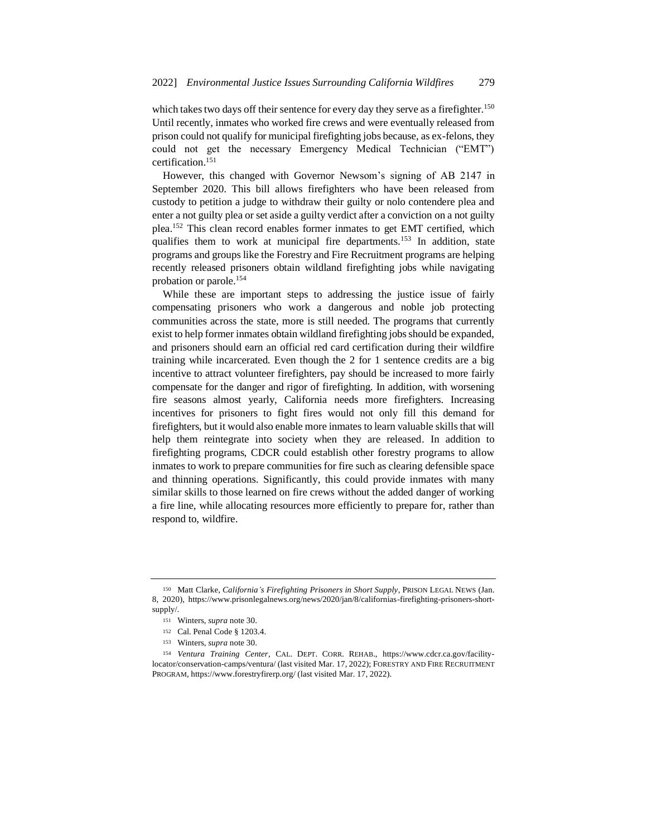which takes two days off their sentence for every day they serve as a firefighter.<sup>150</sup> Until recently, inmates who worked fire crews and were eventually released from prison could not qualify for municipal firefighting jobs because, as ex-felons, they could not get the necessary Emergency Medical Technician ("EMT") certification.<sup>151</sup>

However, this changed with Governor Newsom's signing of AB 2147 in September 2020. This bill allows firefighters who have been released from custody to petition a judge to withdraw their guilty or nolo contendere plea and enter a not guilty plea or set aside a guilty verdict after a conviction on a not guilty plea.<sup>152</sup> This clean record enables former inmates to get EMT certified, which qualifies them to work at municipal fire departments.<sup>153</sup> In addition, state programs and groups like the Forestry and Fire Recruitment programs are helping recently released prisoners obtain wildland firefighting jobs while navigating probation or parole.<sup>154</sup>

While these are important steps to addressing the justice issue of fairly compensating prisoners who work a dangerous and noble job protecting communities across the state, more is still needed. The programs that currently exist to help former inmates obtain wildland firefighting jobs should be expanded, and prisoners should earn an official red card certification during their wildfire training while incarcerated. Even though the 2 for 1 sentence credits are a big incentive to attract volunteer firefighters, pay should be increased to more fairly compensate for the danger and rigor of firefighting. In addition, with worsening fire seasons almost yearly, California needs more firefighters. Increasing incentives for prisoners to fight fires would not only fill this demand for firefighters, but it would also enable more inmates to learn valuable skills that will help them reintegrate into society when they are released. In addition to firefighting programs, CDCR could establish other forestry programs to allow inmates to work to prepare communities for fire such as clearing defensible space and thinning operations. Significantly, this could provide inmates with many similar skills to those learned on fire crews without the added danger of working a fire line, while allocating resources more efficiently to prepare for, rather than respond to, wildfire.

<sup>150</sup> Matt Clarke, *California's Firefighting Prisoners in Short Supply*, PRISON LEGAL NEWS (Jan. 8, 2020), https://www.prisonlegalnews.org/news/2020/jan/8/californias-firefighting-prisoners-shortsupply/.

<sup>151</sup> Winters, *supra* note 30.

<sup>152</sup> Cal. Penal Code § 1203.4.

<sup>153</sup> Winters, *supra* note 30.

<sup>154</sup> *Ventura Training Center*, CAL. DEPT. CORR. REHAB., https://www.cdcr.ca.gov/facilitylocator/conservation-camps/ventura/ (last visited Mar. 17, 2022); FORESTRY AND FIRE RECRUITMENT PROGRAM, https://www.forestryfirerp.org/ (last visited Mar. 17, 2022).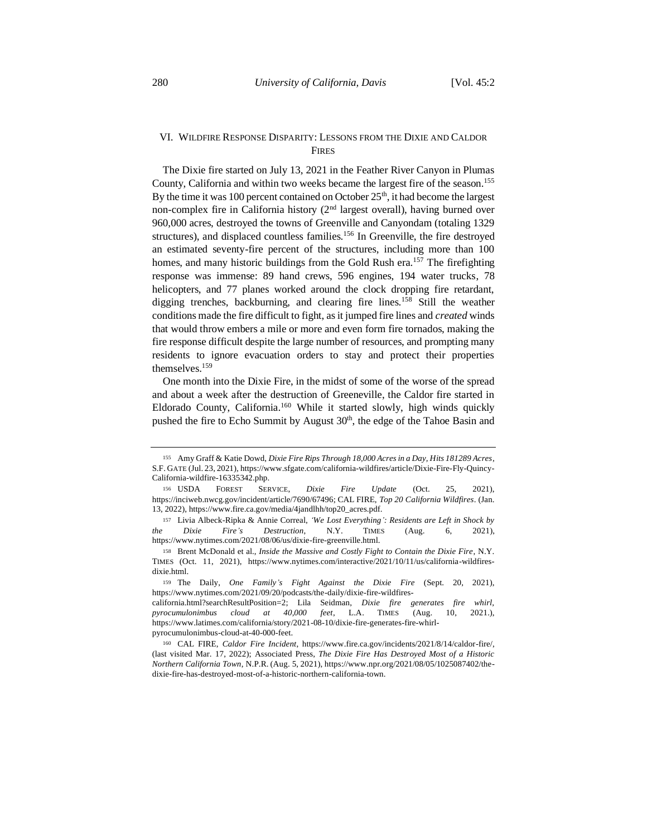# VI. WILDFIRE RESPONSE DISPARITY: LESSONS FROM THE DIXIE AND CALDOR FIRES

The Dixie fire started on July 13, 2021 in the Feather River Canyon in Plumas County, California and within two weeks became the largest fire of the season.<sup>155</sup> By the time it was 100 percent contained on October  $25<sup>th</sup>$ , it had become the largest non-complex fire in California history (2nd largest overall), having burned over 960,000 acres, destroyed the towns of Greenville and Canyondam (totaling 1329 structures), and displaced countless families.<sup>156</sup> In Greenville, the fire destroyed an estimated seventy-fire percent of the structures, including more than 100 homes, and many historic buildings from the Gold Rush era.<sup>157</sup> The firefighting response was immense: 89 hand crews, 596 engines, 194 water trucks, 78 helicopters, and 77 planes worked around the clock dropping fire retardant, digging trenches, backburning, and clearing fire lines.<sup>158</sup> Still the weather conditions made the fire difficult to fight, as it jumped fire lines and *created* winds that would throw embers a mile or more and even form fire tornados, making the fire response difficult despite the large number of resources, and prompting many residents to ignore evacuation orders to stay and protect their properties themselves.<sup>159</sup>

One month into the Dixie Fire, in the midst of some of the worse of the spread and about a week after the destruction of Greeneville, the Caldor fire started in Eldorado County, California.<sup>160</sup> While it started slowly, high winds quickly pushed the fire to Echo Summit by August 30<sup>th</sup>, the edge of the Tahoe Basin and

<sup>155</sup> Amy Graff & Katie Dowd, *Dixie Fire Rips Through 18,000 Acres in a Day, Hits 181289 Acres*, S.F. GATE (Jul. 23, 2021), https://www.sfgate.com/california-wildfires/article/Dixie-Fire-Fly-Quincy-California-wildfire-16335342.php.

<sup>156</sup> USDA FOREST SERVICE, *Dixie Fire Update* (Oct. 25, 2021), https://inciweb.nwcg.gov/incident/article/7690/67496; CAL FIRE, *Top 20 California Wildfires*. (Jan. 13, 2022), https://www.fire.ca.gov/media/4jandlhh/top20\_acres.pdf.

<sup>157</sup> Livia Albeck-Ripka & Annie Correal, *'We Lost Everything': Residents are Left in Shock by the Dixie Fire's Destruction*, N.Y. TIMES (Aug. 6, 2021), https://www.nytimes.com/2021/08/06/us/dixie-fire-greenville.html.

<sup>158</sup> Brent McDonald et al., *Inside the Massive and Costly Fight to Contain the Dixie Fire*, N.Y. TIMES (Oct. 11, 2021), https://www.nytimes.com/interactive/2021/10/11/us/california-wildfiresdixie.html.

<sup>159</sup> The Daily, *One Family's Fight Against the Dixie Fire* (Sept. 20, 2021), https://www.nytimes.com/2021/09/20/podcasts/the-daily/dixie-fire-wildfires-

california.html?searchResultPosition=2; Lila Seidman, *Dixie fire generates fire whirl, pyrocumulonimbus cloud at 40,000 feet*, L.A. TIMES (Aug. 10, 2021.), https://www.latimes.com/california/story/2021-08-10/dixie-fire-generates-fire-whirlpyrocumulonimbus-cloud-at-40-000-feet.

<sup>160</sup> CAL FIRE, *Caldor Fire Incident*, https://www.fire.ca.gov/incidents/2021/8/14/caldor-fire/, (last visited Mar. 17, 2022); Associated Press, *The Dixie Fire Has Destroyed Most of a Historic Northern California Town*, N.P.R. (Aug. 5, 2021), https://www.npr.org/2021/08/05/1025087402/thedixie-fire-has-destroyed-most-of-a-historic-northern-california-town.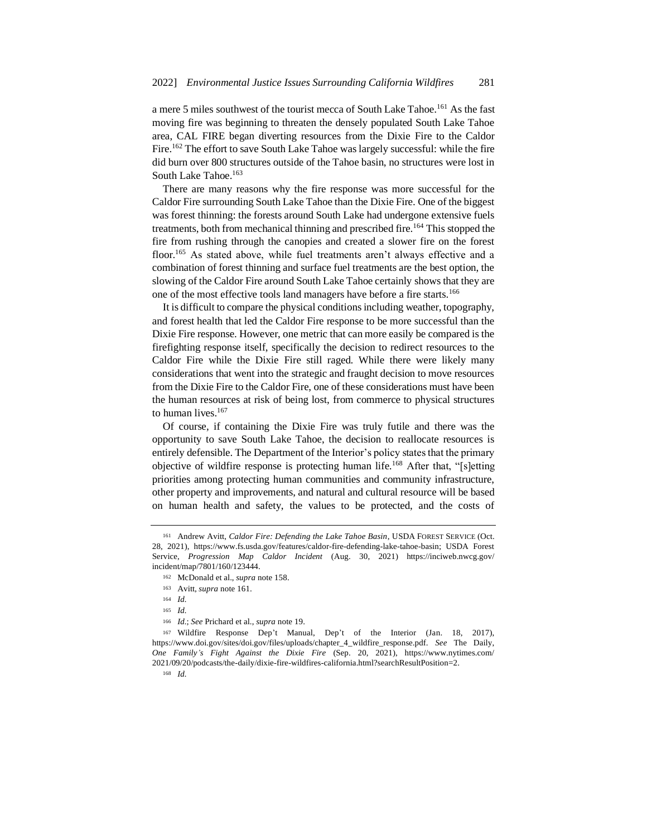a mere 5 miles southwest of the tourist mecca of South Lake Tahoe.<sup>161</sup> As the fast moving fire was beginning to threaten the densely populated South Lake Tahoe area, CAL FIRE began diverting resources from the Dixie Fire to the Caldor Fire.<sup>162</sup> The effort to save South Lake Tahoe was largely successful: while the fire did burn over 800 structures outside of the Tahoe basin, no structures were lost in South Lake Tahoe.<sup>163</sup>

There are many reasons why the fire response was more successful for the Caldor Fire surrounding South Lake Tahoe than the Dixie Fire. One of the biggest was forest thinning: the forests around South Lake had undergone extensive fuels treatments, both from mechanical thinning and prescribed fire.<sup>164</sup> This stopped the fire from rushing through the canopies and created a slower fire on the forest floor.<sup>165</sup> As stated above, while fuel treatments aren't always effective and a combination of forest thinning and surface fuel treatments are the best option, the slowing of the Caldor Fire around South Lake Tahoe certainly shows that they are one of the most effective tools land managers have before a fire starts.<sup>166</sup>

It is difficult to compare the physical conditions including weather, topography, and forest health that led the Caldor Fire response to be more successful than the Dixie Fire response. However, one metric that can more easily be compared is the firefighting response itself, specifically the decision to redirect resources to the Caldor Fire while the Dixie Fire still raged. While there were likely many considerations that went into the strategic and fraught decision to move resources from the Dixie Fire to the Caldor Fire, one of these considerations must have been the human resources at risk of being lost, from commerce to physical structures to human lives.<sup>167</sup>

Of course, if containing the Dixie Fire was truly futile and there was the opportunity to save South Lake Tahoe, the decision to reallocate resources is entirely defensible. The Department of the Interior's policy states that the primary objective of wildfire response is protecting human life.<sup>168</sup> After that, "[s]etting priorities among protecting human communities and community infrastructure, other property and improvements, and natural and cultural resource will be based on human health and safety, the values to be protected, and the costs of

<sup>168</sup> *Id.*

<sup>161</sup> Andrew Avitt, *Caldor Fire: Defending the Lake Tahoe Basin*, USDA FOREST SERVICE (Oct. 28, 2021), https://www.fs.usda.gov/features/caldor-fire-defending-lake-tahoe-basin; USDA Forest Service, *Progression Map Caldor Incident* (Aug. 30, 2021) https://inciweb.nwcg.gov/ incident/map/7801/160/123444.

<sup>162</sup> McDonald et al., *supra* note 158.

<sup>163</sup> Avitt, *supra* note 161.

<sup>164</sup> *Id.*

<sup>165</sup> *Id.*

<sup>166</sup> *Id.*; *See* Prichard et al., *supra* note 19.

<sup>167</sup> Wildfire Response Dep't Manual, Dep't of the Interior (Jan. 18, 2017), https://www.doi.gov/sites/doi.gov/files/uploads/chapter\_4\_wildfire\_response.pdf. *See* The Daily, *One Family's Fight Against the Dixie Fire* (Sep. 20, 2021), https://www.nytimes.com/ 2021/09/20/podcasts/the-daily/dixie-fire-wildfires-california.html?searchResultPosition=2.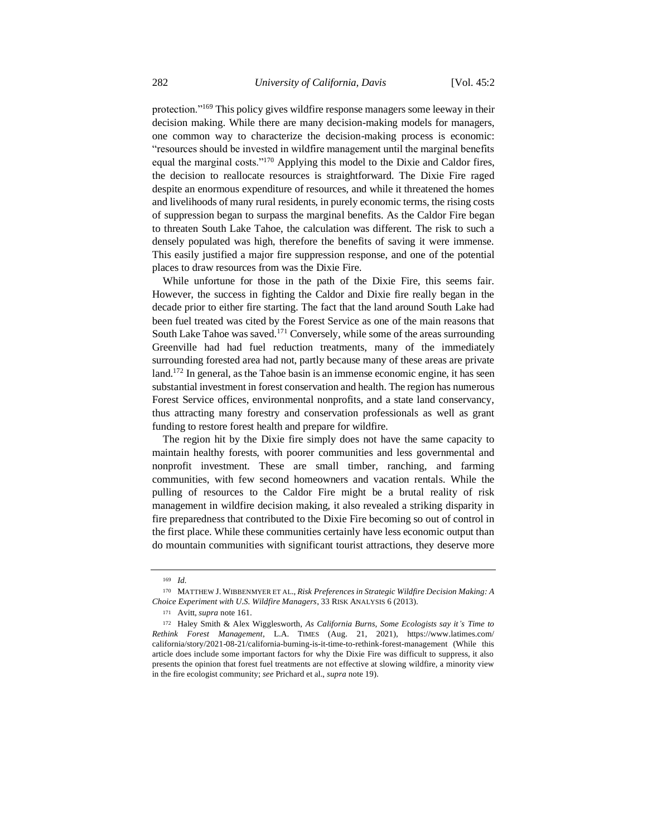protection."<sup>169</sup> This policy gives wildfire response managers some leeway in their decision making. While there are many decision-making models for managers, one common way to characterize the decision-making process is economic: "resources should be invested in wildfire management until the marginal benefits equal the marginal costs."<sup>170</sup> Applying this model to the Dixie and Caldor fires, the decision to reallocate resources is straightforward. The Dixie Fire raged despite an enormous expenditure of resources, and while it threatened the homes and livelihoods of many rural residents, in purely economic terms, the rising costs of suppression began to surpass the marginal benefits. As the Caldor Fire began to threaten South Lake Tahoe, the calculation was different. The risk to such a densely populated was high, therefore the benefits of saving it were immense. This easily justified a major fire suppression response, and one of the potential places to draw resources from was the Dixie Fire.

While unfortune for those in the path of the Dixie Fire, this seems fair. However, the success in fighting the Caldor and Dixie fire really began in the decade prior to either fire starting. The fact that the land around South Lake had been fuel treated was cited by the Forest Service as one of the main reasons that South Lake Tahoe was saved.<sup>171</sup> Conversely, while some of the areas surrounding Greenville had had fuel reduction treatments, many of the immediately surrounding forested area had not, partly because many of these areas are private land.<sup>172</sup> In general, as the Tahoe basin is an immense economic engine, it has seen substantial investment in forest conservation and health. The region has numerous Forest Service offices, environmental nonprofits, and a state land conservancy, thus attracting many forestry and conservation professionals as well as grant funding to restore forest health and prepare for wildfire.

The region hit by the Dixie fire simply does not have the same capacity to maintain healthy forests, with poorer communities and less governmental and nonprofit investment. These are small timber, ranching, and farming communities, with few second homeowners and vacation rentals. While the pulling of resources to the Caldor Fire might be a brutal reality of risk management in wildfire decision making, it also revealed a striking disparity in fire preparedness that contributed to the Dixie Fire becoming so out of control in the first place. While these communities certainly have less economic output than do mountain communities with significant tourist attractions, they deserve more

<sup>169</sup> *Id.*

<sup>170</sup> MATTHEW J. WIBBENMYER ET AL., *Risk Preferences in Strategic Wildfire Decision Making: A Choice Experiment with U.S. Wildfire Managers*, 33 RISK ANALYSIS 6 (2013).

<sup>171</sup> Avitt, *supra* note 161.

<sup>172</sup> Haley Smith & Alex Wigglesworth, *As California Burns, Some Ecologists say it's Time to Rethink Forest Management*, L.A. TIMES (Aug. 21, 2021), https://www.latimes.com/ california/story/2021-08-21/california-burning-is-it-time-to-rethink-forest-management (While this article does include some important factors for why the Dixie Fire was difficult to suppress, it also presents the opinion that forest fuel treatments are not effective at slowing wildfire, a minority view in the fire ecologist community; *see* Prichard et al., *supra* note 19).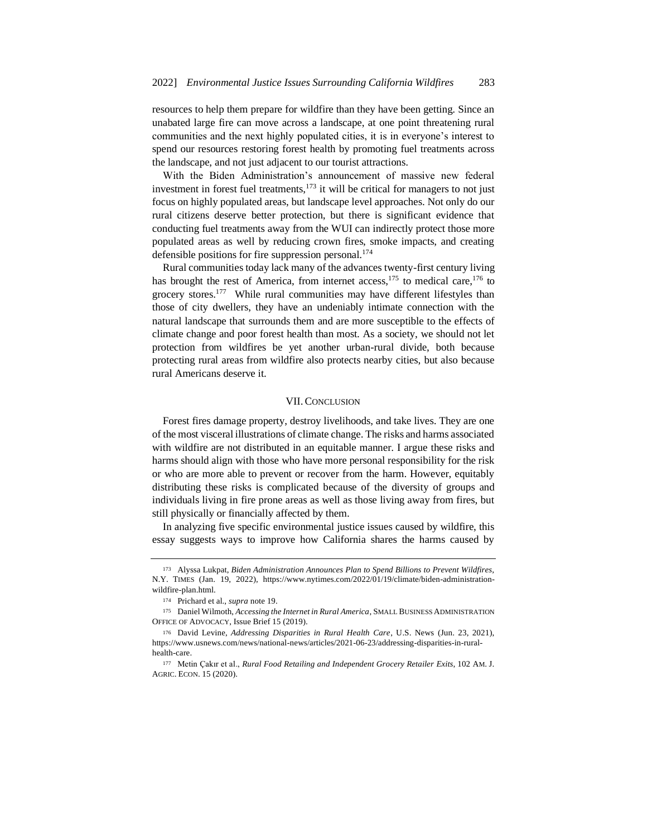resources to help them prepare for wildfire than they have been getting. Since an unabated large fire can move across a landscape, at one point threatening rural communities and the next highly populated cities, it is in everyone's interest to spend our resources restoring forest health by promoting fuel treatments across the landscape, and not just adjacent to our tourist attractions.

With the Biden Administration's announcement of massive new federal investment in forest fuel treatments, $1^{73}$  it will be critical for managers to not just focus on highly populated areas, but landscape level approaches. Not only do our rural citizens deserve better protection, but there is significant evidence that conducting fuel treatments away from the WUI can indirectly protect those more populated areas as well by reducing crown fires, smoke impacts, and creating defensible positions for fire suppression personal.<sup>174</sup>

Rural communities today lack many of the advances twenty-first century living has brought the rest of America, from internet access,  $175$  to medical care,  $176$  to grocery stores.<sup>177</sup> While rural communities may have different lifestyles than those of city dwellers, they have an undeniably intimate connection with the natural landscape that surrounds them and are more susceptible to the effects of climate change and poor forest health than most. As a society, we should not let protection from wildfires be yet another urban-rural divide, both because protecting rural areas from wildfire also protects nearby cities, but also because rural Americans deserve it.

#### VII.CONCLUSION

Forest fires damage property, destroy livelihoods, and take lives. They are one of the most visceral illustrations of climate change. The risks and harms associated with wildfire are not distributed in an equitable manner. I argue these risks and harms should align with those who have more personal responsibility for the risk or who are more able to prevent or recover from the harm. However, equitably distributing these risks is complicated because of the diversity of groups and individuals living in fire prone areas as well as those living away from fires, but still physically or financially affected by them.

In analyzing five specific environmental justice issues caused by wildfire, this essay suggests ways to improve how California shares the harms caused by

<sup>173</sup> Alyssa Lukpat, *Biden Administration Announces Plan to Spend Billions to Prevent Wildfires,* N.Y. TIMES (Jan. 19, 2022), https://www.nytimes.com/2022/01/19/climate/biden-administrationwildfire-plan.html.

<sup>174</sup> Prichard et al., *supra* note 19.

<sup>175</sup> Daniel Wilmoth, *Accessing the Internet in Rural America*, SMALL BUSINESS ADMINISTRATION OFFICE OF ADVOCACY, Issue Brief 15 (2019).

<sup>176</sup> David Levine, *Addressing Disparities in Rural Health Care*, U.S. News (Jun. 23, 2021), https://www.usnews.com/news/national-news/articles/2021-06-23/addressing-disparities-in-ruralhealth-care.

<sup>177</sup> Metin Çakır et al., *Rural Food Retailing and Independent Grocery Retailer Exits*, 102 AM. J. AGRIC. ECON. 15 (2020).